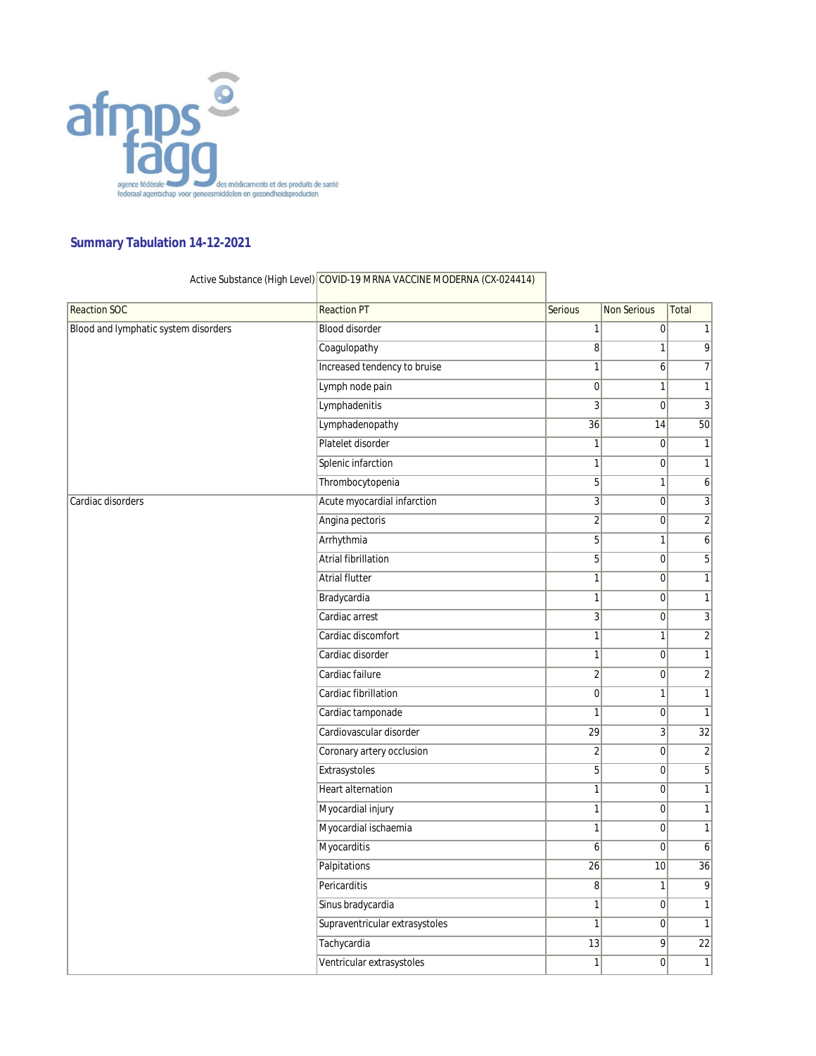

## **Summary Tabulation 14-12-2021**

| <b>Reaction SOC</b>                  | <b>Reaction PT</b>             | Serious         | <b>Non Serious</b> | Total           |
|--------------------------------------|--------------------------------|-----------------|--------------------|-----------------|
| Blood and lymphatic system disorders | <b>Blood disorder</b>          | $\mathbf{1}$    | $\pmb{0}$          | $\mathbf{1}$    |
|                                      | Coagulopathy                   | $\bf{8}$        | 1                  | 9               |
|                                      | Increased tendency to bruise   | $\mathbf{1}$    | 6                  | $\overline{7}$  |
|                                      | Lymph node pain                | $\mathbf 0$     | 1                  | $\mathbf{1}$    |
|                                      | Lymphadenitis                  | 3               | $\mathbf 0$        | 3               |
|                                      | Lymphadenopathy                | $\overline{36}$ | 14                 | $\overline{50}$ |
|                                      | Platelet disorder              | $\mathbf{1}$    | $\boldsymbol{0}$   | $\mathbf{1}$    |
|                                      | Splenic infarction             | $\mathbf{1}$    | $\mathbf 0$        | $\mathbf{1}$    |
|                                      | Thrombocytopenia               | 5               | 1                  | 6               |
| Cardiac disorders                    | Acute myocardial infarction    | 3               | 0                  | 3               |
|                                      | Angina pectoris                | $\overline{2}$  | $\boldsymbol{0}$   | $\sqrt{2}$      |
|                                      | Arrhythmia                     | 5               | 1                  | 6               |
|                                      | Atrial fibrillation            | 5               | 0                  | 5               |
|                                      | <b>Atrial flutter</b>          | $\mathbf{1}$    | $\pmb{0}$          | $\mathbf{1}$    |
|                                      | Bradycardia                    | $\mathbf{1}$    | $\overline{0}$     | $\mathbf{1}$    |
|                                      | Cardiac arrest                 | $\overline{3}$  | $\boldsymbol{0}$   | 3               |
|                                      | Cardiac discomfort             | $\mathbf{1}$    | 1                  | $\sqrt{2}$      |
|                                      | Cardiac disorder               | $\mathbf{1}$    | 0                  | $\mathbf{1}$    |
|                                      | Cardiac failure                | $\sqrt{2}$      | 0                  | $\sqrt{2}$      |
|                                      | Cardiac fibrillation           | $\mathbf 0$     | 1                  | $\mathbf{1}$    |
|                                      | Cardiac tamponade              | $\mathbf{1}$    | $\boldsymbol{0}$   | $\mathbf{1}$    |
|                                      | Cardiovascular disorder        | 29              | 3                  | $\overline{32}$ |
|                                      | Coronary artery occlusion      | $\sqrt{2}$      | 0                  | $\overline{2}$  |
|                                      | Extrasystoles                  | 5               | $\boldsymbol{0}$   | 5               |
|                                      | <b>Heart alternation</b>       | $\mathbf{1}$    | 0                  | $\mathbf{1}$    |
|                                      | Myocardial injury              | $\mathbf{1}$    | 0                  | $\mathbf{1}$    |
|                                      | Myocardial ischaemia           | $\mathbf{1}$    | $\overline{0}$     | $\mathbf{1}$    |
|                                      | Myocarditis                    | 6               | $\overline{0}$     | 6               |
|                                      | Palpitations                   | 26              | 10                 | 36              |
|                                      | Pericarditis                   | 8               | 1                  | 9               |
|                                      | Sinus bradycardia              | $\mathbf{1}$    | $\mathbf 0$        | $\mathbf{1}$    |
|                                      | Supraventricular extrasystoles | 1               | 0                  | $\mathbf{1}$    |
|                                      | Tachycardia                    | 13              | 9                  | 22              |
|                                      | Ventricular extrasystoles      | $\mathbf{1}$    | 0                  | $\mathbf{1}$    |

Active Substance (High Level) COVID-19 MRNA VACCINE MODERNA (CX-024414)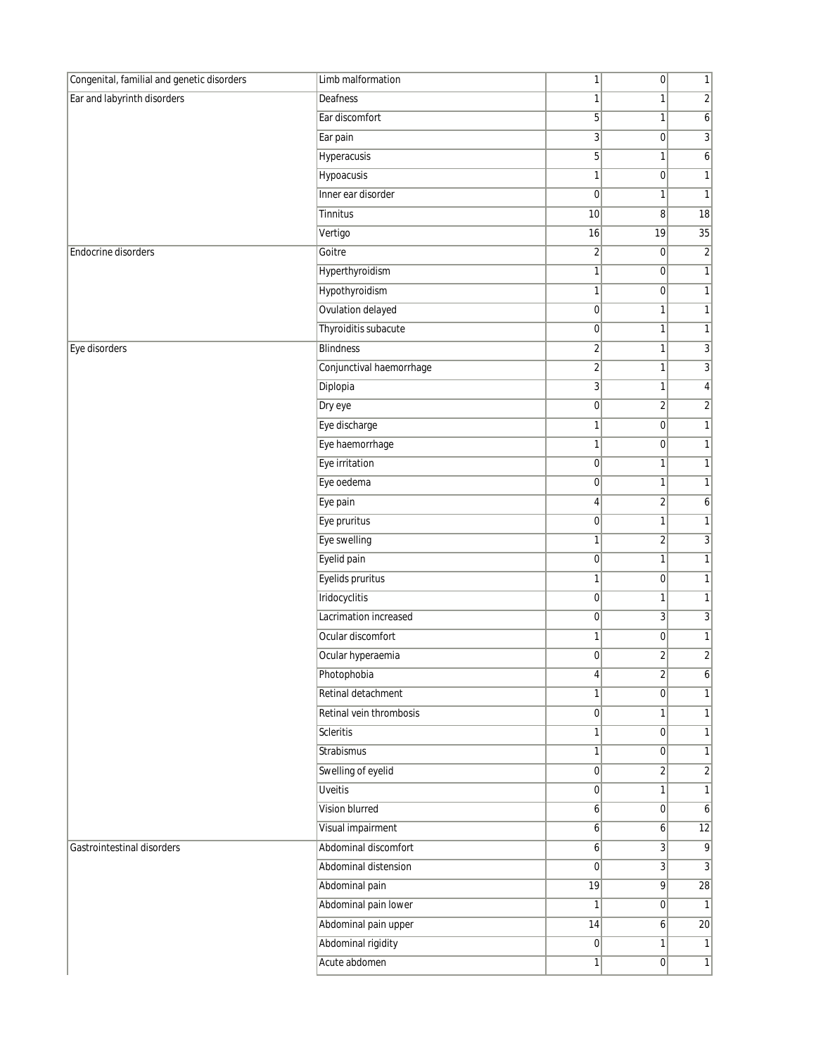| Ear and labyrinth disorders<br>$\overline{c}$<br>Deafness<br>1<br>1<br>Ear discomfort<br>5<br>$\boldsymbol{6}$<br>1<br>$\overline{3}$<br>$\sqrt{3}$<br>Ear pain<br>$\overline{0}$<br>Hyperacusis<br>5 <sup>1</sup><br>6<br>1<br>Hypoacusis<br>$\mathbf{1}$<br>1<br> 0 <br>$\mathbf{1}$<br>Inner ear disorder<br>$\overline{0}$<br>1<br>Tinnitus<br>10<br>8<br>18<br>19<br>35<br>Vertigo<br>16<br>$\sqrt{2}$<br>Goitre<br>$\overline{2}$<br>$\pmb{0}$<br>Hyperthyroidism<br>$\mathbf{1}$<br>1<br> 0 <br>Hypothyroidism<br>1<br>$\overline{0}$<br>$\mathbf{1}$<br>Ovulation delayed<br>$\overline{0}$<br>$\mathbf{1}$<br>1<br>Thyroiditis subacute<br>$\mathbf{1}$<br>$\overline{0}$<br>1<br><b>Blindness</b><br>3<br>$\overline{2}$<br>1<br>Conjunctival haemorrhage<br>$\overline{2}$<br>3<br>1<br>Diplopia<br>$\overline{3}$<br>$\overline{4}$<br>1<br>Dry eye<br>$\overline{0}$<br>$\overline{2}$<br>$\overline{2}$<br>$\mathbf{1}$<br>Eye discharge<br>1<br>$\overline{0}$<br>$\mathbf{1}$<br>Eye haemorrhage<br>$\pmb{0}$<br>1<br>Eye irritation<br>$\mathbf{1}$<br> 0 <br>1<br>Eye oedema<br> 0 <br>$\mathbf{1}$<br>1<br>Eye pain<br>$\overline{2}$<br>4<br>6<br>$\mathbf{1}$<br>Eye pruritus<br>$\overline{0}$<br>1<br>$\sqrt{3}$<br>Eye swelling<br>$\overline{2}$<br>1<br>Eyelid pain<br>$\mathbf{1}$<br> 0 <br>1<br>Eyelids pruritus<br>$\overline{0}$<br>$\mathbf{1}$<br>1<br>Iridocyclitis<br>$\overline{0}$<br>$\mathbf{1}$<br>1<br>$\overline{3}$<br>$\sqrt{3}$<br>Lacrimation increased<br>$\overline{0}$<br>Ocular discomfort<br>$\mathbf{1}$<br>$\pmb{0}$<br>1<br>$\overline{\mathbf{c}}$<br>$\sqrt{2}$<br>Ocular hyperaemia<br> 0 <br>Photophobia<br>$\boldsymbol{6}$<br>$\left  \right $<br>4 <sub>1</sub><br>Retinal detachment<br>$\mathbf{1}$<br> 0 <br>1<br>Retinal vein thrombosis<br> 0 <br>$\mathbf{1}$<br>$\mathbf{1}$<br><b>Scleritis</b><br>1<br>$\overline{0}$<br>$\mathbf{1}$<br><b>Strabismus</b><br>$\mathbf{1}$<br>$\overline{0}$<br>$\mathbf{1}$<br>Swelling of eyelid<br>$\sqrt{2}$<br> 0 <br>$\overline{2}$<br><b>Uveitis</b><br>$\mathbf{1}$<br> 0 <br>1<br>Vision blurred<br>6 <sup>1</sup><br> 0 <br>6<br>Visual impairment<br>12<br>$\overline{6}$<br>6<br>Abdominal discomfort<br>3<br>9<br>Gastrointestinal disorders<br>$\mathbf{6}$<br>Abdominal distension<br>$\sqrt{3}$<br> 0 <br>3<br>Abdominal pain<br> 19 <br>$\overline{9}$<br>28<br>Abdominal pain lower<br>$\mathbf{1}$<br>1<br> 0 <br>Abdominal pain upper<br>14<br>20<br>6<br>Abdominal rigidity<br>$\overline{0}$<br>1<br>$\mathbf{1}$<br>Acute abdomen<br>1<br> 0 | Congenital, familial and genetic disorders | Limb malformation | 1 | $\overline{0}$ | $\mathbf{1}$ |
|---------------------------------------------------------------------------------------------------------------------------------------------------------------------------------------------------------------------------------------------------------------------------------------------------------------------------------------------------------------------------------------------------------------------------------------------------------------------------------------------------------------------------------------------------------------------------------------------------------------------------------------------------------------------------------------------------------------------------------------------------------------------------------------------------------------------------------------------------------------------------------------------------------------------------------------------------------------------------------------------------------------------------------------------------------------------------------------------------------------------------------------------------------------------------------------------------------------------------------------------------------------------------------------------------------------------------------------------------------------------------------------------------------------------------------------------------------------------------------------------------------------------------------------------------------------------------------------------------------------------------------------------------------------------------------------------------------------------------------------------------------------------------------------------------------------------------------------------------------------------------------------------------------------------------------------------------------------------------------------------------------------------------------------------------------------------------------------------------------------------------------------------------------------------------------------------------------------------------------------------------------------------------------------------------------------------------------------------------------------------------------------------------------------------------------------------------------------------------------------------------------------------------------------------------------------------------|--------------------------------------------|-------------------|---|----------------|--------------|
|                                                                                                                                                                                                                                                                                                                                                                                                                                                                                                                                                                                                                                                                                                                                                                                                                                                                                                                                                                                                                                                                                                                                                                                                                                                                                                                                                                                                                                                                                                                                                                                                                                                                                                                                                                                                                                                                                                                                                                                                                                                                                                                                                                                                                                                                                                                                                                                                                                                                                                                                                                           |                                            |                   |   |                |              |
|                                                                                                                                                                                                                                                                                                                                                                                                                                                                                                                                                                                                                                                                                                                                                                                                                                                                                                                                                                                                                                                                                                                                                                                                                                                                                                                                                                                                                                                                                                                                                                                                                                                                                                                                                                                                                                                                                                                                                                                                                                                                                                                                                                                                                                                                                                                                                                                                                                                                                                                                                                           |                                            |                   |   |                |              |
|                                                                                                                                                                                                                                                                                                                                                                                                                                                                                                                                                                                                                                                                                                                                                                                                                                                                                                                                                                                                                                                                                                                                                                                                                                                                                                                                                                                                                                                                                                                                                                                                                                                                                                                                                                                                                                                                                                                                                                                                                                                                                                                                                                                                                                                                                                                                                                                                                                                                                                                                                                           |                                            |                   |   |                |              |
|                                                                                                                                                                                                                                                                                                                                                                                                                                                                                                                                                                                                                                                                                                                                                                                                                                                                                                                                                                                                                                                                                                                                                                                                                                                                                                                                                                                                                                                                                                                                                                                                                                                                                                                                                                                                                                                                                                                                                                                                                                                                                                                                                                                                                                                                                                                                                                                                                                                                                                                                                                           |                                            |                   |   |                |              |
|                                                                                                                                                                                                                                                                                                                                                                                                                                                                                                                                                                                                                                                                                                                                                                                                                                                                                                                                                                                                                                                                                                                                                                                                                                                                                                                                                                                                                                                                                                                                                                                                                                                                                                                                                                                                                                                                                                                                                                                                                                                                                                                                                                                                                                                                                                                                                                                                                                                                                                                                                                           |                                            |                   |   |                |              |
| $\overline{1}$                                                                                                                                                                                                                                                                                                                                                                                                                                                                                                                                                                                                                                                                                                                                                                                                                                                                                                                                                                                                                                                                                                                                                                                                                                                                                                                                                                                                                                                                                                                                                                                                                                                                                                                                                                                                                                                                                                                                                                                                                                                                                                                                                                                                                                                                                                                                                                                                                                                                                                                                                            |                                            |                   |   |                |              |
|                                                                                                                                                                                                                                                                                                                                                                                                                                                                                                                                                                                                                                                                                                                                                                                                                                                                                                                                                                                                                                                                                                                                                                                                                                                                                                                                                                                                                                                                                                                                                                                                                                                                                                                                                                                                                                                                                                                                                                                                                                                                                                                                                                                                                                                                                                                                                                                                                                                                                                                                                                           |                                            |                   |   |                |              |
|                                                                                                                                                                                                                                                                                                                                                                                                                                                                                                                                                                                                                                                                                                                                                                                                                                                                                                                                                                                                                                                                                                                                                                                                                                                                                                                                                                                                                                                                                                                                                                                                                                                                                                                                                                                                                                                                                                                                                                                                                                                                                                                                                                                                                                                                                                                                                                                                                                                                                                                                                                           |                                            |                   |   |                |              |
|                                                                                                                                                                                                                                                                                                                                                                                                                                                                                                                                                                                                                                                                                                                                                                                                                                                                                                                                                                                                                                                                                                                                                                                                                                                                                                                                                                                                                                                                                                                                                                                                                                                                                                                                                                                                                                                                                                                                                                                                                                                                                                                                                                                                                                                                                                                                                                                                                                                                                                                                                                           | <b>Endocrine disorders</b>                 |                   |   |                |              |
|                                                                                                                                                                                                                                                                                                                                                                                                                                                                                                                                                                                                                                                                                                                                                                                                                                                                                                                                                                                                                                                                                                                                                                                                                                                                                                                                                                                                                                                                                                                                                                                                                                                                                                                                                                                                                                                                                                                                                                                                                                                                                                                                                                                                                                                                                                                                                                                                                                                                                                                                                                           |                                            |                   |   |                |              |
|                                                                                                                                                                                                                                                                                                                                                                                                                                                                                                                                                                                                                                                                                                                                                                                                                                                                                                                                                                                                                                                                                                                                                                                                                                                                                                                                                                                                                                                                                                                                                                                                                                                                                                                                                                                                                                                                                                                                                                                                                                                                                                                                                                                                                                                                                                                                                                                                                                                                                                                                                                           |                                            |                   |   |                |              |
|                                                                                                                                                                                                                                                                                                                                                                                                                                                                                                                                                                                                                                                                                                                                                                                                                                                                                                                                                                                                                                                                                                                                                                                                                                                                                                                                                                                                                                                                                                                                                                                                                                                                                                                                                                                                                                                                                                                                                                                                                                                                                                                                                                                                                                                                                                                                                                                                                                                                                                                                                                           |                                            |                   |   |                |              |
|                                                                                                                                                                                                                                                                                                                                                                                                                                                                                                                                                                                                                                                                                                                                                                                                                                                                                                                                                                                                                                                                                                                                                                                                                                                                                                                                                                                                                                                                                                                                                                                                                                                                                                                                                                                                                                                                                                                                                                                                                                                                                                                                                                                                                                                                                                                                                                                                                                                                                                                                                                           |                                            |                   |   |                |              |
|                                                                                                                                                                                                                                                                                                                                                                                                                                                                                                                                                                                                                                                                                                                                                                                                                                                                                                                                                                                                                                                                                                                                                                                                                                                                                                                                                                                                                                                                                                                                                                                                                                                                                                                                                                                                                                                                                                                                                                                                                                                                                                                                                                                                                                                                                                                                                                                                                                                                                                                                                                           | Eye disorders                              |                   |   |                |              |
|                                                                                                                                                                                                                                                                                                                                                                                                                                                                                                                                                                                                                                                                                                                                                                                                                                                                                                                                                                                                                                                                                                                                                                                                                                                                                                                                                                                                                                                                                                                                                                                                                                                                                                                                                                                                                                                                                                                                                                                                                                                                                                                                                                                                                                                                                                                                                                                                                                                                                                                                                                           |                                            |                   |   |                |              |
|                                                                                                                                                                                                                                                                                                                                                                                                                                                                                                                                                                                                                                                                                                                                                                                                                                                                                                                                                                                                                                                                                                                                                                                                                                                                                                                                                                                                                                                                                                                                                                                                                                                                                                                                                                                                                                                                                                                                                                                                                                                                                                                                                                                                                                                                                                                                                                                                                                                                                                                                                                           |                                            |                   |   |                |              |
|                                                                                                                                                                                                                                                                                                                                                                                                                                                                                                                                                                                                                                                                                                                                                                                                                                                                                                                                                                                                                                                                                                                                                                                                                                                                                                                                                                                                                                                                                                                                                                                                                                                                                                                                                                                                                                                                                                                                                                                                                                                                                                                                                                                                                                                                                                                                                                                                                                                                                                                                                                           |                                            |                   |   |                |              |
|                                                                                                                                                                                                                                                                                                                                                                                                                                                                                                                                                                                                                                                                                                                                                                                                                                                                                                                                                                                                                                                                                                                                                                                                                                                                                                                                                                                                                                                                                                                                                                                                                                                                                                                                                                                                                                                                                                                                                                                                                                                                                                                                                                                                                                                                                                                                                                                                                                                                                                                                                                           |                                            |                   |   |                |              |
|                                                                                                                                                                                                                                                                                                                                                                                                                                                                                                                                                                                                                                                                                                                                                                                                                                                                                                                                                                                                                                                                                                                                                                                                                                                                                                                                                                                                                                                                                                                                                                                                                                                                                                                                                                                                                                                                                                                                                                                                                                                                                                                                                                                                                                                                                                                                                                                                                                                                                                                                                                           |                                            |                   |   |                |              |
|                                                                                                                                                                                                                                                                                                                                                                                                                                                                                                                                                                                                                                                                                                                                                                                                                                                                                                                                                                                                                                                                                                                                                                                                                                                                                                                                                                                                                                                                                                                                                                                                                                                                                                                                                                                                                                                                                                                                                                                                                                                                                                                                                                                                                                                                                                                                                                                                                                                                                                                                                                           |                                            |                   |   |                |              |
|                                                                                                                                                                                                                                                                                                                                                                                                                                                                                                                                                                                                                                                                                                                                                                                                                                                                                                                                                                                                                                                                                                                                                                                                                                                                                                                                                                                                                                                                                                                                                                                                                                                                                                                                                                                                                                                                                                                                                                                                                                                                                                                                                                                                                                                                                                                                                                                                                                                                                                                                                                           |                                            |                   |   |                |              |
|                                                                                                                                                                                                                                                                                                                                                                                                                                                                                                                                                                                                                                                                                                                                                                                                                                                                                                                                                                                                                                                                                                                                                                                                                                                                                                                                                                                                                                                                                                                                                                                                                                                                                                                                                                                                                                                                                                                                                                                                                                                                                                                                                                                                                                                                                                                                                                                                                                                                                                                                                                           |                                            |                   |   |                |              |
|                                                                                                                                                                                                                                                                                                                                                                                                                                                                                                                                                                                                                                                                                                                                                                                                                                                                                                                                                                                                                                                                                                                                                                                                                                                                                                                                                                                                                                                                                                                                                                                                                                                                                                                                                                                                                                                                                                                                                                                                                                                                                                                                                                                                                                                                                                                                                                                                                                                                                                                                                                           |                                            |                   |   |                |              |
|                                                                                                                                                                                                                                                                                                                                                                                                                                                                                                                                                                                                                                                                                                                                                                                                                                                                                                                                                                                                                                                                                                                                                                                                                                                                                                                                                                                                                                                                                                                                                                                                                                                                                                                                                                                                                                                                                                                                                                                                                                                                                                                                                                                                                                                                                                                                                                                                                                                                                                                                                                           |                                            |                   |   |                |              |
|                                                                                                                                                                                                                                                                                                                                                                                                                                                                                                                                                                                                                                                                                                                                                                                                                                                                                                                                                                                                                                                                                                                                                                                                                                                                                                                                                                                                                                                                                                                                                                                                                                                                                                                                                                                                                                                                                                                                                                                                                                                                                                                                                                                                                                                                                                                                                                                                                                                                                                                                                                           |                                            |                   |   |                |              |
|                                                                                                                                                                                                                                                                                                                                                                                                                                                                                                                                                                                                                                                                                                                                                                                                                                                                                                                                                                                                                                                                                                                                                                                                                                                                                                                                                                                                                                                                                                                                                                                                                                                                                                                                                                                                                                                                                                                                                                                                                                                                                                                                                                                                                                                                                                                                                                                                                                                                                                                                                                           |                                            |                   |   |                |              |
|                                                                                                                                                                                                                                                                                                                                                                                                                                                                                                                                                                                                                                                                                                                                                                                                                                                                                                                                                                                                                                                                                                                                                                                                                                                                                                                                                                                                                                                                                                                                                                                                                                                                                                                                                                                                                                                                                                                                                                                                                                                                                                                                                                                                                                                                                                                                                                                                                                                                                                                                                                           |                                            |                   |   |                |              |
|                                                                                                                                                                                                                                                                                                                                                                                                                                                                                                                                                                                                                                                                                                                                                                                                                                                                                                                                                                                                                                                                                                                                                                                                                                                                                                                                                                                                                                                                                                                                                                                                                                                                                                                                                                                                                                                                                                                                                                                                                                                                                                                                                                                                                                                                                                                                                                                                                                                                                                                                                                           |                                            |                   |   |                |              |
|                                                                                                                                                                                                                                                                                                                                                                                                                                                                                                                                                                                                                                                                                                                                                                                                                                                                                                                                                                                                                                                                                                                                                                                                                                                                                                                                                                                                                                                                                                                                                                                                                                                                                                                                                                                                                                                                                                                                                                                                                                                                                                                                                                                                                                                                                                                                                                                                                                                                                                                                                                           |                                            |                   |   |                |              |
|                                                                                                                                                                                                                                                                                                                                                                                                                                                                                                                                                                                                                                                                                                                                                                                                                                                                                                                                                                                                                                                                                                                                                                                                                                                                                                                                                                                                                                                                                                                                                                                                                                                                                                                                                                                                                                                                                                                                                                                                                                                                                                                                                                                                                                                                                                                                                                                                                                                                                                                                                                           |                                            |                   |   |                |              |
|                                                                                                                                                                                                                                                                                                                                                                                                                                                                                                                                                                                                                                                                                                                                                                                                                                                                                                                                                                                                                                                                                                                                                                                                                                                                                                                                                                                                                                                                                                                                                                                                                                                                                                                                                                                                                                                                                                                                                                                                                                                                                                                                                                                                                                                                                                                                                                                                                                                                                                                                                                           |                                            |                   |   |                |              |
|                                                                                                                                                                                                                                                                                                                                                                                                                                                                                                                                                                                                                                                                                                                                                                                                                                                                                                                                                                                                                                                                                                                                                                                                                                                                                                                                                                                                                                                                                                                                                                                                                                                                                                                                                                                                                                                                                                                                                                                                                                                                                                                                                                                                                                                                                                                                                                                                                                                                                                                                                                           |                                            |                   |   |                |              |
|                                                                                                                                                                                                                                                                                                                                                                                                                                                                                                                                                                                                                                                                                                                                                                                                                                                                                                                                                                                                                                                                                                                                                                                                                                                                                                                                                                                                                                                                                                                                                                                                                                                                                                                                                                                                                                                                                                                                                                                                                                                                                                                                                                                                                                                                                                                                                                                                                                                                                                                                                                           |                                            |                   |   |                |              |
|                                                                                                                                                                                                                                                                                                                                                                                                                                                                                                                                                                                                                                                                                                                                                                                                                                                                                                                                                                                                                                                                                                                                                                                                                                                                                                                                                                                                                                                                                                                                                                                                                                                                                                                                                                                                                                                                                                                                                                                                                                                                                                                                                                                                                                                                                                                                                                                                                                                                                                                                                                           |                                            |                   |   |                |              |
|                                                                                                                                                                                                                                                                                                                                                                                                                                                                                                                                                                                                                                                                                                                                                                                                                                                                                                                                                                                                                                                                                                                                                                                                                                                                                                                                                                                                                                                                                                                                                                                                                                                                                                                                                                                                                                                                                                                                                                                                                                                                                                                                                                                                                                                                                                                                                                                                                                                                                                                                                                           |                                            |                   |   |                |              |
|                                                                                                                                                                                                                                                                                                                                                                                                                                                                                                                                                                                                                                                                                                                                                                                                                                                                                                                                                                                                                                                                                                                                                                                                                                                                                                                                                                                                                                                                                                                                                                                                                                                                                                                                                                                                                                                                                                                                                                                                                                                                                                                                                                                                                                                                                                                                                                                                                                                                                                                                                                           |                                            |                   |   |                |              |
|                                                                                                                                                                                                                                                                                                                                                                                                                                                                                                                                                                                                                                                                                                                                                                                                                                                                                                                                                                                                                                                                                                                                                                                                                                                                                                                                                                                                                                                                                                                                                                                                                                                                                                                                                                                                                                                                                                                                                                                                                                                                                                                                                                                                                                                                                                                                                                                                                                                                                                                                                                           |                                            |                   |   |                |              |
|                                                                                                                                                                                                                                                                                                                                                                                                                                                                                                                                                                                                                                                                                                                                                                                                                                                                                                                                                                                                                                                                                                                                                                                                                                                                                                                                                                                                                                                                                                                                                                                                                                                                                                                                                                                                                                                                                                                                                                                                                                                                                                                                                                                                                                                                                                                                                                                                                                                                                                                                                                           |                                            |                   |   |                |              |
|                                                                                                                                                                                                                                                                                                                                                                                                                                                                                                                                                                                                                                                                                                                                                                                                                                                                                                                                                                                                                                                                                                                                                                                                                                                                                                                                                                                                                                                                                                                                                                                                                                                                                                                                                                                                                                                                                                                                                                                                                                                                                                                                                                                                                                                                                                                                                                                                                                                                                                                                                                           |                                            |                   |   |                |              |
|                                                                                                                                                                                                                                                                                                                                                                                                                                                                                                                                                                                                                                                                                                                                                                                                                                                                                                                                                                                                                                                                                                                                                                                                                                                                                                                                                                                                                                                                                                                                                                                                                                                                                                                                                                                                                                                                                                                                                                                                                                                                                                                                                                                                                                                                                                                                                                                                                                                                                                                                                                           |                                            |                   |   |                |              |
|                                                                                                                                                                                                                                                                                                                                                                                                                                                                                                                                                                                                                                                                                                                                                                                                                                                                                                                                                                                                                                                                                                                                                                                                                                                                                                                                                                                                                                                                                                                                                                                                                                                                                                                                                                                                                                                                                                                                                                                                                                                                                                                                                                                                                                                                                                                                                                                                                                                                                                                                                                           |                                            |                   |   |                |              |
|                                                                                                                                                                                                                                                                                                                                                                                                                                                                                                                                                                                                                                                                                                                                                                                                                                                                                                                                                                                                                                                                                                                                                                                                                                                                                                                                                                                                                                                                                                                                                                                                                                                                                                                                                                                                                                                                                                                                                                                                                                                                                                                                                                                                                                                                                                                                                                                                                                                                                                                                                                           |                                            |                   |   |                |              |
|                                                                                                                                                                                                                                                                                                                                                                                                                                                                                                                                                                                                                                                                                                                                                                                                                                                                                                                                                                                                                                                                                                                                                                                                                                                                                                                                                                                                                                                                                                                                                                                                                                                                                                                                                                                                                                                                                                                                                                                                                                                                                                                                                                                                                                                                                                                                                                                                                                                                                                                                                                           |                                            |                   |   |                |              |
|                                                                                                                                                                                                                                                                                                                                                                                                                                                                                                                                                                                                                                                                                                                                                                                                                                                                                                                                                                                                                                                                                                                                                                                                                                                                                                                                                                                                                                                                                                                                                                                                                                                                                                                                                                                                                                                                                                                                                                                                                                                                                                                                                                                                                                                                                                                                                                                                                                                                                                                                                                           |                                            |                   |   |                |              |
|                                                                                                                                                                                                                                                                                                                                                                                                                                                                                                                                                                                                                                                                                                                                                                                                                                                                                                                                                                                                                                                                                                                                                                                                                                                                                                                                                                                                                                                                                                                                                                                                                                                                                                                                                                                                                                                                                                                                                                                                                                                                                                                                                                                                                                                                                                                                                                                                                                                                                                                                                                           |                                            |                   |   |                |              |
|                                                                                                                                                                                                                                                                                                                                                                                                                                                                                                                                                                                                                                                                                                                                                                                                                                                                                                                                                                                                                                                                                                                                                                                                                                                                                                                                                                                                                                                                                                                                                                                                                                                                                                                                                                                                                                                                                                                                                                                                                                                                                                                                                                                                                                                                                                                                                                                                                                                                                                                                                                           |                                            |                   |   |                |              |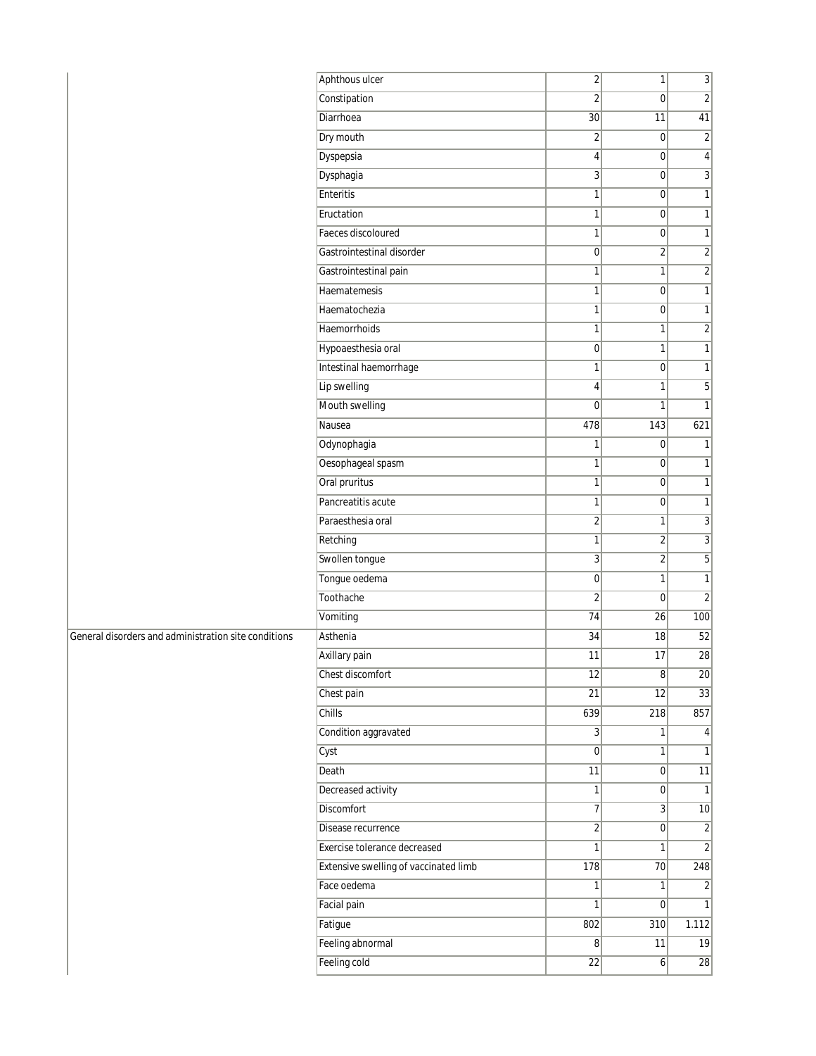|                                                      | Aphthous ulcer                        | $\overline{2}$               | $\mathbf{1}$            | $\overline{3}$  |
|------------------------------------------------------|---------------------------------------|------------------------------|-------------------------|-----------------|
|                                                      | Constipation                          | 2                            | $\mathbf 0$             | $\overline{2}$  |
|                                                      | Diarrhoea                             | 30                           | 11                      | 41              |
|                                                      | Dry mouth                             | $\overline{2}$               | 0                       | $\overline{2}$  |
|                                                      | Dyspepsia                             | $\vert 4 \vert$              | $\boldsymbol{0}$        | $\vert 4 \vert$ |
|                                                      | Dysphagia                             | 3                            | $\overline{0}$          | $\overline{3}$  |
|                                                      | Enteritis                             | 1                            | $\mathbf 0$             | $\mathbf{1}$    |
|                                                      | Eructation                            | $\mathbf{1}$                 | $\overline{0}$          | $\mathbf{1}$    |
|                                                      | Faeces discoloured                    | $\mathbf{1}$                 | $\overline{0}$          | $\mathbf{1}$    |
|                                                      | Gastrointestinal disorder             | $\overline{0}$               | $\overline{2}$          | $\overline{2}$  |
|                                                      | Gastrointestinal pain                 | $\mathbf{1}$                 | 1                       | $\overline{2}$  |
|                                                      | Haematemesis                          | 1                            | $\mathbf 0$             | $\mathbf{1}$    |
|                                                      | Haematochezia                         | $\mathbf{1}$                 | $\overline{0}$          | $\mathbf{1}$    |
|                                                      | Haemorrhoids                          | $\mathbf{1}$                 | 1                       | $\mathbf{2}$    |
|                                                      | Hypoaesthesia oral                    | $\overline{0}$               | 1                       | $\mathbf{1}$    |
|                                                      | Intestinal haemorrhage                | $\mathbf{1}$                 | $\pmb{0}$               | $\mathbf{1}$    |
|                                                      | Lip swelling                          | 4                            | 1                       | 5               |
|                                                      | Mouth swelling                        | $\overline{0}$               | 1                       | $\mathbf{1}$    |
|                                                      | Nausea                                | 478                          | 143                     | 621             |
|                                                      | Odynophagia                           | $\mathbf{1}$                 | $\pmb{0}$               | $\mathbf{1}$    |
|                                                      | Oesophageal spasm                     | 1                            | $\overline{0}$          | $\mathbf{1}$    |
|                                                      | Oral pruritus                         | 1                            | $\mathbf 0$             | $\mathbf{1}$    |
|                                                      | Pancreatitis acute                    | $\mathbf{1}$                 | $\overline{0}$          | $\mathbf{1}$    |
|                                                      | Paraesthesia oral                     | $\overline{2}$               | 1                       | $\overline{3}$  |
|                                                      | Retching                              | $\mathbf{1}$                 | $\overline{\mathbf{c}}$ | $\overline{3}$  |
|                                                      | Swollen tongue                        | 3                            | $\overline{2}$          | 5               |
|                                                      | Tongue oedema                         | $\overline{0}$               | 1                       | $\mathbf{1}$    |
|                                                      | Toothache                             | $\sqrt{2}$                   | $\overline{0}$          | $\sqrt{2}$      |
|                                                      | Vomiting                              | 74                           | 26                      | 100             |
| General disorders and administration site conditions | Asthenia                              | 34                           | 18                      | 52              |
|                                                      | Axillary pain                         | 11                           | 17                      | 28              |
|                                                      | Chest discomfort                      | 12                           | 8                       | 20              |
|                                                      | Chest pain                            | $\overline{21}$              | $\overline{12}$         | $\overline{33}$ |
|                                                      | Chills                                | 639                          | 218                     | 857             |
|                                                      | Condition aggravated                  | $\overline{3}$               | $\mathbf{1}$            | $\vert$         |
|                                                      | Cyst                                  | 0                            | $\mathbf{1}$            | $\mathbf{1}$    |
|                                                      | Death                                 | 11                           | $\overline{0}$          | $\overline{11}$ |
|                                                      | Decreased activity                    | 1                            | $\overline{0}$          | $\overline{1}$  |
|                                                      | Discomfort                            | 7 <sup>1</sup>               | $\overline{3}$          | 10              |
|                                                      | Disease recurrence                    | $\left  \frac{2}{2} \right $ | $\mathbf 0$             | $\overline{2}$  |
|                                                      | Exercise tolerance decreased          | 1                            | 1                       | $\overline{2}$  |
|                                                      | Extensive swelling of vaccinated limb | 178                          | 70                      | 248             |
|                                                      | Face oedema                           | 1                            | $\mathbf{1}$            | $\overline{2}$  |
|                                                      | Facial pain                           | $\mathbf{1}$                 | $\overline{0}$          | $\vert$ 1       |
|                                                      | Fatigue                               | 802                          | 310                     | 1.112           |
|                                                      | Feeling abnormal                      | $\overline{8}$               | 11                      | 19              |
|                                                      | Feeling cold                          | 22                           | $\vert 6 \vert$         | 28              |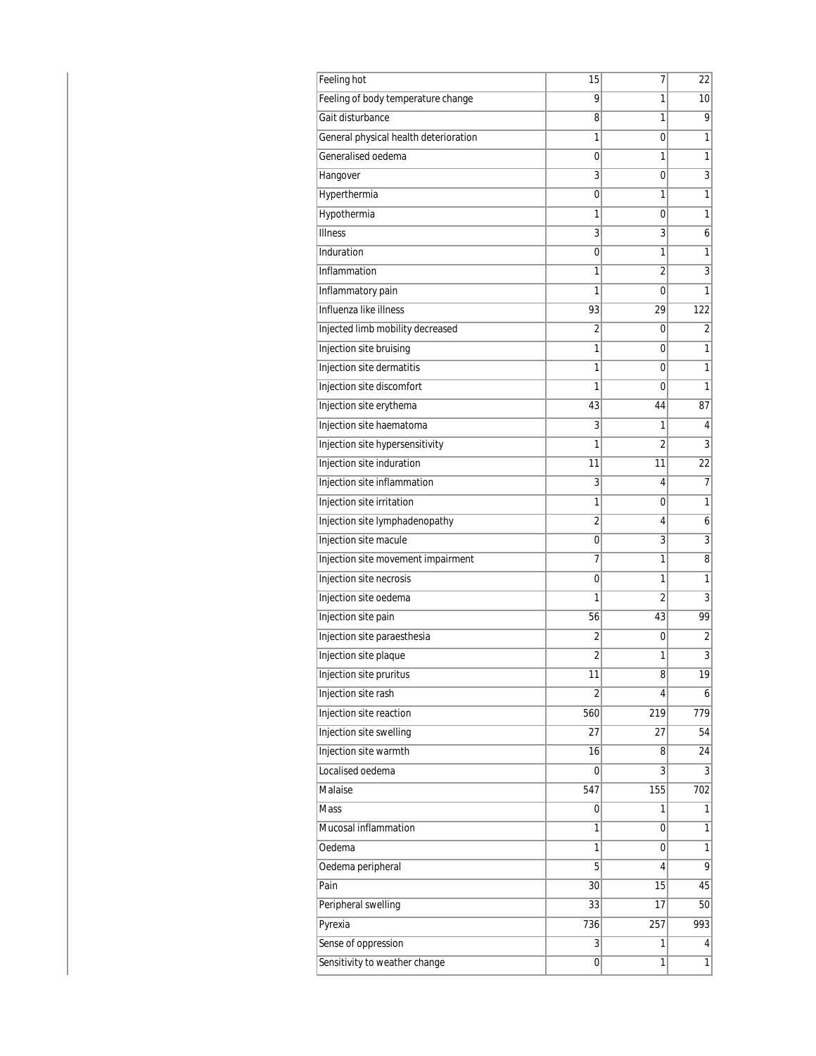| Feeling of body temperature change    | 9              | 1   |                 |
|---------------------------------------|----------------|-----|-----------------|
|                                       |                |     | 10 <sup>1</sup> |
| Gait disturbance                      | 8              | 1   | 9               |
| General physical health deterioration | 1              | 0   | 1               |
| Generalised oedema                    | 0              | 1   | 1               |
| Hangover                              | 3              | 0   | $\overline{3}$  |
| Hyperthermia                          | 0              | 1   | $\mathbf{1}$    |
| Hypothermia                           | 1              | 0   | 1               |
| <b>Illness</b>                        | 3              | 3   | 6               |
| Induration                            | 0              | 1   | 1               |
| Inflammation                          | 1              | 2   | $\overline{3}$  |
| Inflammatory pain                     | 1              | 0   | 1               |
| Influenza like illness                | 93             | 29  | 122             |
| Injected limb mobility decreased      | 2              | 0   | 2               |
| Injection site bruising               | 1              | 0   | 1               |
| Injection site dermatitis             | 1              | 0   | 1               |
| Injection site discomfort             | 1              | 0   | 1               |
| Injection site erythema               | 43             | 44  | 87              |
| Injection site haematoma              | 3              | 1   | 4               |
| Injection site hypersensitivity       | 1              | 2   | 3               |
| Injection site induration             | 11             | 11  | 22              |
| Injection site inflammation           | 3              | 4   | $\overline{7}$  |
| Injection site irritation             | 1              | 0   | 1               |
| Injection site lymphadenopathy        | 2              | 4   | 6               |
| Injection site macule                 | 0              | 3   | 3               |
| Injection site movement impairment    | $\overline{7}$ | 1   | 8               |
| Injection site necrosis               | 0              | 1   | $\mathbf{1}$    |
| Injection site oedema                 | 1              | 2   | 3               |
| Injection site pain                   | 56             | 43  | 99              |
| Injection site paraesthesia           | $\overline{2}$ | 0   | $\overline{c}$  |
| Injection site plaque                 | 2              | 1   | $\overline{3}$  |
| Injection site pruritus               | 11             | 8   | 19              |
| Injection site rash                   | $\overline{2}$ | 4   | $\mathbf{6}$    |
| Injection site reaction               | 560            | 219 | 779             |
| Injection site swelling               | 27             | 27  | 54              |
| Injection site warmth                 | 16             | 8   | 24              |
| Localised oedema                      | 0              | 3   | $\overline{3}$  |
| Malaise                               | 547            | 155 | 702             |
| <b>Mass</b>                           | 0              | 1   | 1               |
| Mucosal inflammation                  | 1              | 0   | 1               |
| Oedema                                | 1              | 0   | 1               |
| Oedema peripheral                     | 5              | 4   | 9               |
| Pain                                  | 30             | 15  | 45              |
| Peripheral swelling                   | 33             | 17  | 50              |
| Pyrexia                               | 736            | 257 | 993             |
| Sense of oppression                   | 3              | 1   | 4               |
| Sensitivity to weather change         | 0              | 1   | $\mathbf{1}$    |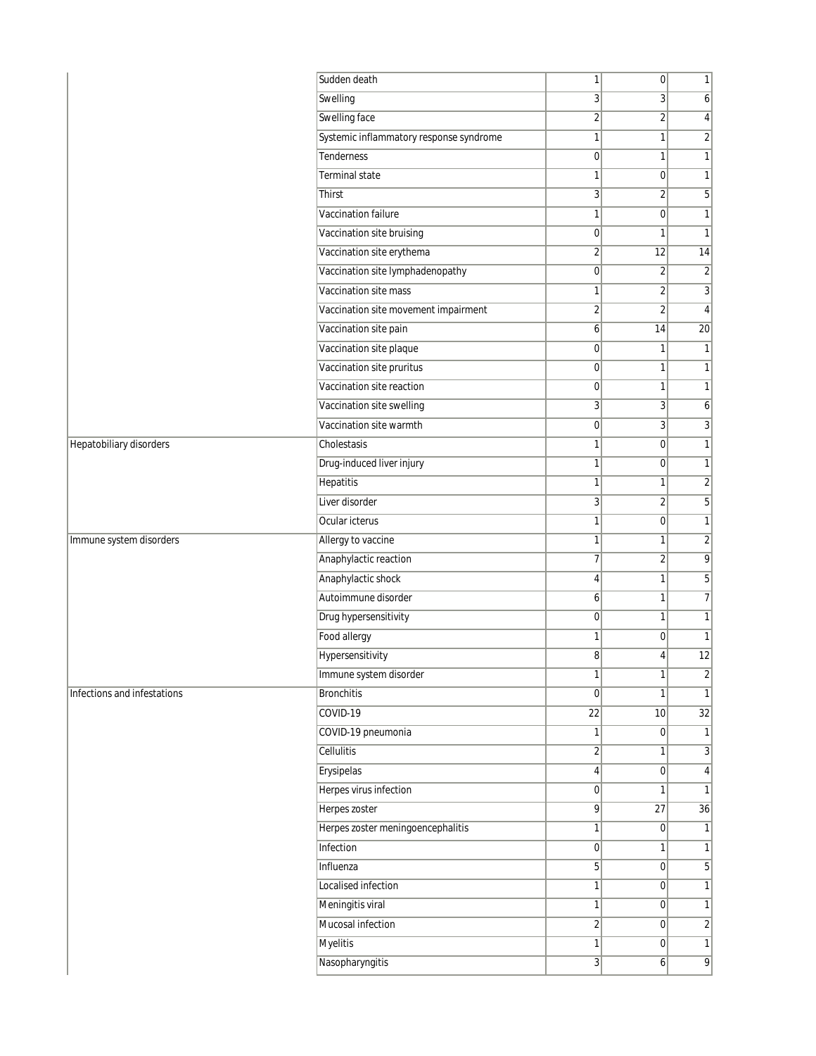|                             | Sudden death                            | 1                | $\overline{0}$ | $\mathbf{1}$            |
|-----------------------------|-----------------------------------------|------------------|----------------|-------------------------|
|                             | Swelling                                | $\overline{3}$   | 3 <sup>1</sup> | 6                       |
|                             | Swelling face                           | $\overline{2}$   | $\overline{2}$ | 4                       |
|                             | Systemic inflammatory response syndrome | $\mathbf{1}$     | 1              | $\overline{\mathbf{c}}$ |
|                             | <b>Tenderness</b>                       | $\overline{0}$   | $\mathbf{1}$   | $\mathbf{1}$            |
|                             | Terminal state                          | $\mathbf{1}$     | $\overline{0}$ | $\mathbf{1}$            |
|                             | Thirst                                  | $\overline{3}$   | $\overline{2}$ | 5                       |
|                             | Vaccination failure                     | $\mathbf{1}$     | $\overline{0}$ | $\mathbf{1}$            |
|                             | Vaccination site bruising               | 0                | 1              | $\mathbf{1}$            |
|                             | Vaccination site erythema               | $\overline{2}$   | 12             | 14                      |
|                             | Vaccination site lymphadenopathy        | 0                | $\overline{2}$ | $\overline{2}$          |
|                             | Vaccination site mass                   | 1                | $\overline{2}$ | $\sqrt{3}$              |
|                             | Vaccination site movement impairment    | $\overline{2}$   | $\overline{2}$ | $\overline{4}$          |
|                             | Vaccination site pain                   | $\mathbf{6}$     | 14             | $\overline{20}$         |
|                             | Vaccination site plaque                 | 0                | $\mathbf{1}$   | $\mathbf{1}$            |
|                             | Vaccination site pruritus               | 0                | 1              | $\mathbf{1}$            |
|                             | Vaccination site reaction               | $\overline{0}$   | 1              | $\mathbf{1}$            |
|                             | Vaccination site swelling               | 3                | 3 <sup>1</sup> | 6                       |
|                             | Vaccination site warmth                 | 0                | $\overline{3}$ | 3                       |
| Hepatobiliary disorders     | Cholestasis                             | $\mathbf{1}$     | $\overline{0}$ | $\mathbf{1}$            |
|                             | Drug-induced liver injury               | $\mathbf{1}$     | $\overline{0}$ | $\mathbf{1}$            |
|                             | Hepatitis                               | 1                | 1              | $\overline{c}$          |
|                             | Liver disorder                          | $\overline{3}$   | $\overline{2}$ | 5                       |
|                             | Ocular icterus                          | $\mathbf{1}$     | $\overline{0}$ | $\mathbf{1}$            |
| Immune system disorders     | Allergy to vaccine                      | $\mathbf{1}$     | $\mathbf{1}$   | $\sqrt{2}$              |
|                             | Anaphylactic reaction                   | 7                | $\overline{2}$ | 9                       |
|                             | Anaphylactic shock                      | $\left 4\right $ | 1              | 5                       |
|                             | Autoimmune disorder                     | 6                | $\mathbf{1}$   | 7                       |
|                             | Drug hypersensitivity                   | 0                | 1              | $\mathbf{1}$            |
|                             | Food allergy                            | $\mathbf{1}$     | $\overline{0}$ | $\mathbf{1}$            |
|                             | Hypersensitivity                        | 8                | 4              | 12                      |
|                             | Immune system disorder                  | 11               | 11             | $\overline{2}$          |
| Infections and infestations | <b>Bronchitis</b>                       | $\overline{0}$   | 1              | $\mathbf{1}$            |
|                             | COVID-19                                | $\overline{22}$  | 10             | 32                      |
|                             | COVID-19 pneumonia                      | 1                | $\overline{0}$ | $\mathbf{1}$            |
|                             | Cellulitis                              | $\overline{2}$   | $\mathbf{1}$   | 3                       |
|                             | Erysipelas                              | 4                | $\overline{0}$ | $\overline{4}$          |
|                             | Herpes virus infection                  | $\overline{0}$   | 1              | $\mathbf{1}$            |
|                             | Herpes zoster                           | 9                | 27             | 36                      |
|                             | Herpes zoster meningoencephalitis       | 1                | $\overline{0}$ | $\mathbf{1}$            |
|                             | Infection                               | 0                | $\mathbf{1}$   | $\mathbf{1}$            |
|                             | Influenza                               | 5 <sup>1</sup>   | $\overline{0}$ | 5                       |
|                             | <b>Localised infection</b>              | 1                | $\overline{0}$ | $\mathbf{1}$            |
|                             | Meningitis viral                        | 1                | 0              | $\mathbf{1}$            |
|                             | Mucosal infection                       | $\overline{2}$   | $\overline{0}$ | $\overline{2}$          |
|                             | <b>Myelitis</b>                         | 1                | $\overline{0}$ | $\mathbf{1}$            |
|                             | Nasopharyngitis                         | $\overline{3}$   | $6 \mid$       | $\overline{9}$          |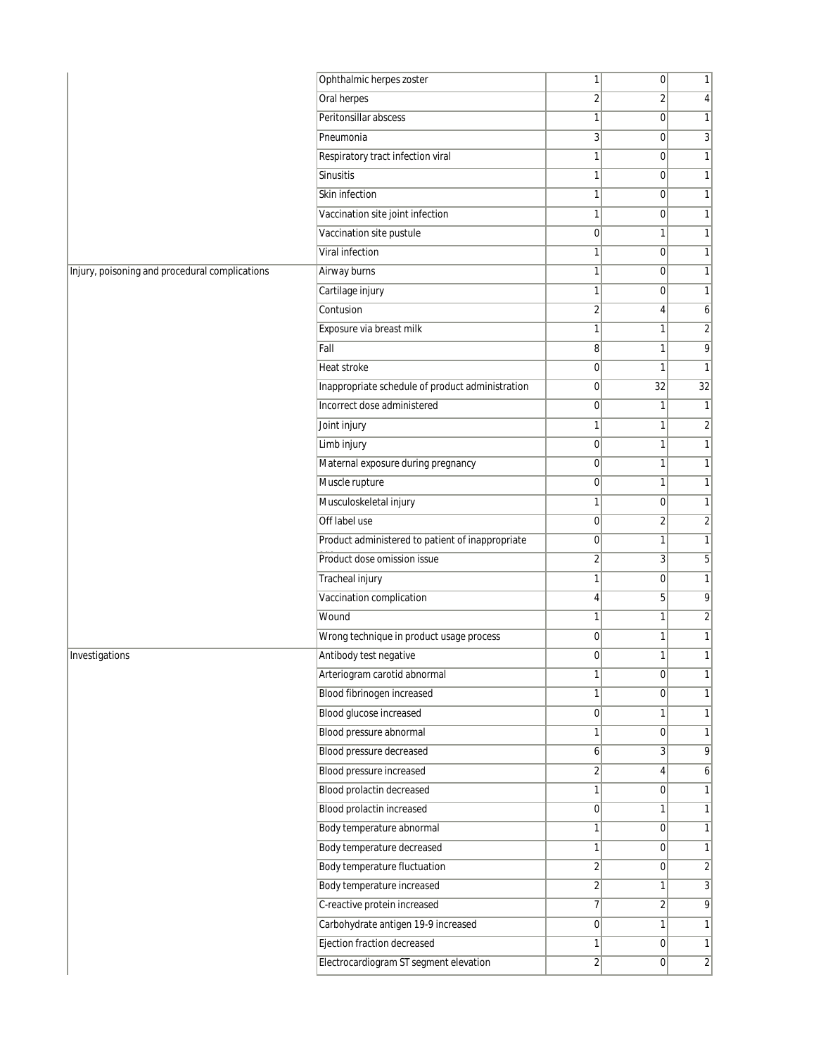| Oral herpes<br>$\overline{2}$<br>$\overline{2}$<br>4<br>Peritonsillar abscess<br>$\mathbf{1}$<br>$\overline{0}$<br>1<br>Pneumonia<br>$\overline{3}$<br>$\overline{0}$<br>3<br>Respiratory tract infection viral<br>1<br>$\overline{0}$<br>1<br>Sinusitis<br>1<br>$\overline{0}$<br>$\mathbf{1}$<br>Skin infection<br>$\mathbf{1}$<br>1<br>$\mathbf 0$<br>Vaccination site joint infection<br>$\mathbf{1}$<br>$\overline{0}$<br>1<br>Vaccination site pustule<br>$\overline{0}$<br>$\mathbf{1}$<br>1<br>Viral infection<br>1<br>$\overline{0}$<br>1<br>Airway burns<br>1<br>$\overline{0}$<br>$\mathbf{1}$<br>Cartilage injury<br>$\mathbf{1}$<br>1<br>$\mathbf 0$<br>Contusion<br>$\overline{2}$<br>$\vert$<br>6<br>$\sqrt{2}$<br>Exposure via breast milk<br>1<br>1<br>Fall<br>8<br>9<br>1<br>$\mathbf{1}$<br>$\overline{0}$<br>Heat stroke<br>1<br>Inappropriate schedule of product administration<br>$\overline{0}$<br>32<br>32<br>Incorrect dose administered<br>$\overline{0}$<br>1<br>1<br>$\overline{2}$<br>Joint injury<br>1<br>1<br>Limb injury<br>$\vert 0 \vert$<br>1<br>1<br>Maternal exposure during pregnancy<br>$\overline{0}$<br>$\mathbf{1}$<br>1<br>Muscle rupture<br>$\overline{0}$<br>$\mathbf{1}$<br>1<br>Musculoskeletal injury<br>$\mathbf{1}$<br>$\overline{0}$<br>1<br>Off label use<br>$\overline{0}$<br>$\overline{2}$<br>$\overline{2}$<br>Product administered to patient of inappropriate<br>$\mathbf{1}$<br>$\overline{0}$<br>1<br>$\overline{2}$<br>5<br>Product dose omission issue<br>3 <sup>1</sup><br>Tracheal injury<br>$\mathbf{1}$<br>$\mathbf{1}$<br>$\mathbf 0$<br>Vaccination complication<br>9<br>5<br>$\left 4\right $<br>$\sqrt{2}$<br>Wound<br>$\mathbf{1}$<br>1<br>Wrong technique in product usage process<br>$\overline{0}$<br>1<br>1<br>Antibody test negative<br>$\overline{0}$<br>$\mathbf{1}$<br>1<br>Arteriogram carotid abnormal<br>1<br> 0 <br>Blood fibrinogen increased<br>$\mathbf{1}$<br>$\overline{0}$<br>1<br>Blood glucose increased<br> 0 <br>1<br>1<br>Blood pressure abnormal<br>$\mathbf{1}$<br>$\overline{0}$<br>1<br>Blood pressure decreased<br>$6\vert$<br>$\overline{3}$<br>9<br><b>Blood pressure increased</b><br>$\overline{2}$<br>4<br>6<br>Blood prolactin decreased<br>1<br> 0 <br>1<br>Blood prolactin increased<br> 0 <br>1<br>1<br>Body temperature abnormal<br>$\mathbf{1}$<br>$\overline{0}$<br>1<br>Body temperature decreased<br>$\mathbf{1}$<br> 0 <br>1<br>Body temperature fluctuation<br>$\overline{c}$<br>$\overline{2}$<br>$\overline{0}$<br>Body temperature increased<br>$\overline{2}$<br>3<br>$\mathbf{1}$<br>C-reactive protein increased<br>$\overline{7}$<br>9<br>$\overline{2}$<br>Carbohydrate antigen 19-9 increased<br> 0 <br>1<br>1<br>Ejection fraction decreased<br>$\mathbf{1}$<br> 0 <br>$\mathbf{1}$<br>Electrocardiogram ST segment elevation<br>$\overline{2}$<br>$\overline{2}$<br> 0 |                                                | Ophthalmic herpes zoster | $\mathbf{1}$ | 0 | 1 |
|-------------------------------------------------------------------------------------------------------------------------------------------------------------------------------------------------------------------------------------------------------------------------------------------------------------------------------------------------------------------------------------------------------------------------------------------------------------------------------------------------------------------------------------------------------------------------------------------------------------------------------------------------------------------------------------------------------------------------------------------------------------------------------------------------------------------------------------------------------------------------------------------------------------------------------------------------------------------------------------------------------------------------------------------------------------------------------------------------------------------------------------------------------------------------------------------------------------------------------------------------------------------------------------------------------------------------------------------------------------------------------------------------------------------------------------------------------------------------------------------------------------------------------------------------------------------------------------------------------------------------------------------------------------------------------------------------------------------------------------------------------------------------------------------------------------------------------------------------------------------------------------------------------------------------------------------------------------------------------------------------------------------------------------------------------------------------------------------------------------------------------------------------------------------------------------------------------------------------------------------------------------------------------------------------------------------------------------------------------------------------------------------------------------------------------------------------------------------------------------------------------------------------------------------------------------------------------------------------------------------------------------------------------------------------------------------------------------------------------------------------------------------------------------------------------------------------------------------------------------------------------------------------------|------------------------------------------------|--------------------------|--------------|---|---|
|                                                                                                                                                                                                                                                                                                                                                                                                                                                                                                                                                                                                                                                                                                                                                                                                                                                                                                                                                                                                                                                                                                                                                                                                                                                                                                                                                                                                                                                                                                                                                                                                                                                                                                                                                                                                                                                                                                                                                                                                                                                                                                                                                                                                                                                                                                                                                                                                                                                                                                                                                                                                                                                                                                                                                                                                                                                                                                       |                                                |                          |              |   |   |
|                                                                                                                                                                                                                                                                                                                                                                                                                                                                                                                                                                                                                                                                                                                                                                                                                                                                                                                                                                                                                                                                                                                                                                                                                                                                                                                                                                                                                                                                                                                                                                                                                                                                                                                                                                                                                                                                                                                                                                                                                                                                                                                                                                                                                                                                                                                                                                                                                                                                                                                                                                                                                                                                                                                                                                                                                                                                                                       |                                                |                          |              |   |   |
|                                                                                                                                                                                                                                                                                                                                                                                                                                                                                                                                                                                                                                                                                                                                                                                                                                                                                                                                                                                                                                                                                                                                                                                                                                                                                                                                                                                                                                                                                                                                                                                                                                                                                                                                                                                                                                                                                                                                                                                                                                                                                                                                                                                                                                                                                                                                                                                                                                                                                                                                                                                                                                                                                                                                                                                                                                                                                                       |                                                |                          |              |   |   |
|                                                                                                                                                                                                                                                                                                                                                                                                                                                                                                                                                                                                                                                                                                                                                                                                                                                                                                                                                                                                                                                                                                                                                                                                                                                                                                                                                                                                                                                                                                                                                                                                                                                                                                                                                                                                                                                                                                                                                                                                                                                                                                                                                                                                                                                                                                                                                                                                                                                                                                                                                                                                                                                                                                                                                                                                                                                                                                       |                                                |                          |              |   |   |
|                                                                                                                                                                                                                                                                                                                                                                                                                                                                                                                                                                                                                                                                                                                                                                                                                                                                                                                                                                                                                                                                                                                                                                                                                                                                                                                                                                                                                                                                                                                                                                                                                                                                                                                                                                                                                                                                                                                                                                                                                                                                                                                                                                                                                                                                                                                                                                                                                                                                                                                                                                                                                                                                                                                                                                                                                                                                                                       |                                                |                          |              |   |   |
|                                                                                                                                                                                                                                                                                                                                                                                                                                                                                                                                                                                                                                                                                                                                                                                                                                                                                                                                                                                                                                                                                                                                                                                                                                                                                                                                                                                                                                                                                                                                                                                                                                                                                                                                                                                                                                                                                                                                                                                                                                                                                                                                                                                                                                                                                                                                                                                                                                                                                                                                                                                                                                                                                                                                                                                                                                                                                                       |                                                |                          |              |   |   |
|                                                                                                                                                                                                                                                                                                                                                                                                                                                                                                                                                                                                                                                                                                                                                                                                                                                                                                                                                                                                                                                                                                                                                                                                                                                                                                                                                                                                                                                                                                                                                                                                                                                                                                                                                                                                                                                                                                                                                                                                                                                                                                                                                                                                                                                                                                                                                                                                                                                                                                                                                                                                                                                                                                                                                                                                                                                                                                       |                                                |                          |              |   |   |
|                                                                                                                                                                                                                                                                                                                                                                                                                                                                                                                                                                                                                                                                                                                                                                                                                                                                                                                                                                                                                                                                                                                                                                                                                                                                                                                                                                                                                                                                                                                                                                                                                                                                                                                                                                                                                                                                                                                                                                                                                                                                                                                                                                                                                                                                                                                                                                                                                                                                                                                                                                                                                                                                                                                                                                                                                                                                                                       |                                                |                          |              |   |   |
|                                                                                                                                                                                                                                                                                                                                                                                                                                                                                                                                                                                                                                                                                                                                                                                                                                                                                                                                                                                                                                                                                                                                                                                                                                                                                                                                                                                                                                                                                                                                                                                                                                                                                                                                                                                                                                                                                                                                                                                                                                                                                                                                                                                                                                                                                                                                                                                                                                                                                                                                                                                                                                                                                                                                                                                                                                                                                                       |                                                |                          |              |   |   |
|                                                                                                                                                                                                                                                                                                                                                                                                                                                                                                                                                                                                                                                                                                                                                                                                                                                                                                                                                                                                                                                                                                                                                                                                                                                                                                                                                                                                                                                                                                                                                                                                                                                                                                                                                                                                                                                                                                                                                                                                                                                                                                                                                                                                                                                                                                                                                                                                                                                                                                                                                                                                                                                                                                                                                                                                                                                                                                       | Injury, poisoning and procedural complications |                          |              |   |   |
|                                                                                                                                                                                                                                                                                                                                                                                                                                                                                                                                                                                                                                                                                                                                                                                                                                                                                                                                                                                                                                                                                                                                                                                                                                                                                                                                                                                                                                                                                                                                                                                                                                                                                                                                                                                                                                                                                                                                                                                                                                                                                                                                                                                                                                                                                                                                                                                                                                                                                                                                                                                                                                                                                                                                                                                                                                                                                                       |                                                |                          |              |   |   |
|                                                                                                                                                                                                                                                                                                                                                                                                                                                                                                                                                                                                                                                                                                                                                                                                                                                                                                                                                                                                                                                                                                                                                                                                                                                                                                                                                                                                                                                                                                                                                                                                                                                                                                                                                                                                                                                                                                                                                                                                                                                                                                                                                                                                                                                                                                                                                                                                                                                                                                                                                                                                                                                                                                                                                                                                                                                                                                       |                                                |                          |              |   |   |
|                                                                                                                                                                                                                                                                                                                                                                                                                                                                                                                                                                                                                                                                                                                                                                                                                                                                                                                                                                                                                                                                                                                                                                                                                                                                                                                                                                                                                                                                                                                                                                                                                                                                                                                                                                                                                                                                                                                                                                                                                                                                                                                                                                                                                                                                                                                                                                                                                                                                                                                                                                                                                                                                                                                                                                                                                                                                                                       |                                                |                          |              |   |   |
|                                                                                                                                                                                                                                                                                                                                                                                                                                                                                                                                                                                                                                                                                                                                                                                                                                                                                                                                                                                                                                                                                                                                                                                                                                                                                                                                                                                                                                                                                                                                                                                                                                                                                                                                                                                                                                                                                                                                                                                                                                                                                                                                                                                                                                                                                                                                                                                                                                                                                                                                                                                                                                                                                                                                                                                                                                                                                                       |                                                |                          |              |   |   |
|                                                                                                                                                                                                                                                                                                                                                                                                                                                                                                                                                                                                                                                                                                                                                                                                                                                                                                                                                                                                                                                                                                                                                                                                                                                                                                                                                                                                                                                                                                                                                                                                                                                                                                                                                                                                                                                                                                                                                                                                                                                                                                                                                                                                                                                                                                                                                                                                                                                                                                                                                                                                                                                                                                                                                                                                                                                                                                       |                                                |                          |              |   |   |
|                                                                                                                                                                                                                                                                                                                                                                                                                                                                                                                                                                                                                                                                                                                                                                                                                                                                                                                                                                                                                                                                                                                                                                                                                                                                                                                                                                                                                                                                                                                                                                                                                                                                                                                                                                                                                                                                                                                                                                                                                                                                                                                                                                                                                                                                                                                                                                                                                                                                                                                                                                                                                                                                                                                                                                                                                                                                                                       |                                                |                          |              |   |   |
|                                                                                                                                                                                                                                                                                                                                                                                                                                                                                                                                                                                                                                                                                                                                                                                                                                                                                                                                                                                                                                                                                                                                                                                                                                                                                                                                                                                                                                                                                                                                                                                                                                                                                                                                                                                                                                                                                                                                                                                                                                                                                                                                                                                                                                                                                                                                                                                                                                                                                                                                                                                                                                                                                                                                                                                                                                                                                                       |                                                |                          |              |   |   |
|                                                                                                                                                                                                                                                                                                                                                                                                                                                                                                                                                                                                                                                                                                                                                                                                                                                                                                                                                                                                                                                                                                                                                                                                                                                                                                                                                                                                                                                                                                                                                                                                                                                                                                                                                                                                                                                                                                                                                                                                                                                                                                                                                                                                                                                                                                                                                                                                                                                                                                                                                                                                                                                                                                                                                                                                                                                                                                       |                                                |                          |              |   |   |
|                                                                                                                                                                                                                                                                                                                                                                                                                                                                                                                                                                                                                                                                                                                                                                                                                                                                                                                                                                                                                                                                                                                                                                                                                                                                                                                                                                                                                                                                                                                                                                                                                                                                                                                                                                                                                                                                                                                                                                                                                                                                                                                                                                                                                                                                                                                                                                                                                                                                                                                                                                                                                                                                                                                                                                                                                                                                                                       |                                                |                          |              |   |   |
|                                                                                                                                                                                                                                                                                                                                                                                                                                                                                                                                                                                                                                                                                                                                                                                                                                                                                                                                                                                                                                                                                                                                                                                                                                                                                                                                                                                                                                                                                                                                                                                                                                                                                                                                                                                                                                                                                                                                                                                                                                                                                                                                                                                                                                                                                                                                                                                                                                                                                                                                                                                                                                                                                                                                                                                                                                                                                                       |                                                |                          |              |   |   |
|                                                                                                                                                                                                                                                                                                                                                                                                                                                                                                                                                                                                                                                                                                                                                                                                                                                                                                                                                                                                                                                                                                                                                                                                                                                                                                                                                                                                                                                                                                                                                                                                                                                                                                                                                                                                                                                                                                                                                                                                                                                                                                                                                                                                                                                                                                                                                                                                                                                                                                                                                                                                                                                                                                                                                                                                                                                                                                       |                                                |                          |              |   |   |
|                                                                                                                                                                                                                                                                                                                                                                                                                                                                                                                                                                                                                                                                                                                                                                                                                                                                                                                                                                                                                                                                                                                                                                                                                                                                                                                                                                                                                                                                                                                                                                                                                                                                                                                                                                                                                                                                                                                                                                                                                                                                                                                                                                                                                                                                                                                                                                                                                                                                                                                                                                                                                                                                                                                                                                                                                                                                                                       |                                                |                          |              |   |   |
|                                                                                                                                                                                                                                                                                                                                                                                                                                                                                                                                                                                                                                                                                                                                                                                                                                                                                                                                                                                                                                                                                                                                                                                                                                                                                                                                                                                                                                                                                                                                                                                                                                                                                                                                                                                                                                                                                                                                                                                                                                                                                                                                                                                                                                                                                                                                                                                                                                                                                                                                                                                                                                                                                                                                                                                                                                                                                                       |                                                |                          |              |   |   |
|                                                                                                                                                                                                                                                                                                                                                                                                                                                                                                                                                                                                                                                                                                                                                                                                                                                                                                                                                                                                                                                                                                                                                                                                                                                                                                                                                                                                                                                                                                                                                                                                                                                                                                                                                                                                                                                                                                                                                                                                                                                                                                                                                                                                                                                                                                                                                                                                                                                                                                                                                                                                                                                                                                                                                                                                                                                                                                       |                                                |                          |              |   |   |
|                                                                                                                                                                                                                                                                                                                                                                                                                                                                                                                                                                                                                                                                                                                                                                                                                                                                                                                                                                                                                                                                                                                                                                                                                                                                                                                                                                                                                                                                                                                                                                                                                                                                                                                                                                                                                                                                                                                                                                                                                                                                                                                                                                                                                                                                                                                                                                                                                                                                                                                                                                                                                                                                                                                                                                                                                                                                                                       |                                                |                          |              |   |   |
|                                                                                                                                                                                                                                                                                                                                                                                                                                                                                                                                                                                                                                                                                                                                                                                                                                                                                                                                                                                                                                                                                                                                                                                                                                                                                                                                                                                                                                                                                                                                                                                                                                                                                                                                                                                                                                                                                                                                                                                                                                                                                                                                                                                                                                                                                                                                                                                                                                                                                                                                                                                                                                                                                                                                                                                                                                                                                                       |                                                |                          |              |   |   |
|                                                                                                                                                                                                                                                                                                                                                                                                                                                                                                                                                                                                                                                                                                                                                                                                                                                                                                                                                                                                                                                                                                                                                                                                                                                                                                                                                                                                                                                                                                                                                                                                                                                                                                                                                                                                                                                                                                                                                                                                                                                                                                                                                                                                                                                                                                                                                                                                                                                                                                                                                                                                                                                                                                                                                                                                                                                                                                       |                                                |                          |              |   |   |
|                                                                                                                                                                                                                                                                                                                                                                                                                                                                                                                                                                                                                                                                                                                                                                                                                                                                                                                                                                                                                                                                                                                                                                                                                                                                                                                                                                                                                                                                                                                                                                                                                                                                                                                                                                                                                                                                                                                                                                                                                                                                                                                                                                                                                                                                                                                                                                                                                                                                                                                                                                                                                                                                                                                                                                                                                                                                                                       |                                                |                          |              |   |   |
|                                                                                                                                                                                                                                                                                                                                                                                                                                                                                                                                                                                                                                                                                                                                                                                                                                                                                                                                                                                                                                                                                                                                                                                                                                                                                                                                                                                                                                                                                                                                                                                                                                                                                                                                                                                                                                                                                                                                                                                                                                                                                                                                                                                                                                                                                                                                                                                                                                                                                                                                                                                                                                                                                                                                                                                                                                                                                                       |                                                |                          |              |   |   |
|                                                                                                                                                                                                                                                                                                                                                                                                                                                                                                                                                                                                                                                                                                                                                                                                                                                                                                                                                                                                                                                                                                                                                                                                                                                                                                                                                                                                                                                                                                                                                                                                                                                                                                                                                                                                                                                                                                                                                                                                                                                                                                                                                                                                                                                                                                                                                                                                                                                                                                                                                                                                                                                                                                                                                                                                                                                                                                       | Investigations                                 |                          |              |   |   |
|                                                                                                                                                                                                                                                                                                                                                                                                                                                                                                                                                                                                                                                                                                                                                                                                                                                                                                                                                                                                                                                                                                                                                                                                                                                                                                                                                                                                                                                                                                                                                                                                                                                                                                                                                                                                                                                                                                                                                                                                                                                                                                                                                                                                                                                                                                                                                                                                                                                                                                                                                                                                                                                                                                                                                                                                                                                                                                       |                                                |                          |              |   |   |
|                                                                                                                                                                                                                                                                                                                                                                                                                                                                                                                                                                                                                                                                                                                                                                                                                                                                                                                                                                                                                                                                                                                                                                                                                                                                                                                                                                                                                                                                                                                                                                                                                                                                                                                                                                                                                                                                                                                                                                                                                                                                                                                                                                                                                                                                                                                                                                                                                                                                                                                                                                                                                                                                                                                                                                                                                                                                                                       |                                                |                          |              |   |   |
|                                                                                                                                                                                                                                                                                                                                                                                                                                                                                                                                                                                                                                                                                                                                                                                                                                                                                                                                                                                                                                                                                                                                                                                                                                                                                                                                                                                                                                                                                                                                                                                                                                                                                                                                                                                                                                                                                                                                                                                                                                                                                                                                                                                                                                                                                                                                                                                                                                                                                                                                                                                                                                                                                                                                                                                                                                                                                                       |                                                |                          |              |   |   |
|                                                                                                                                                                                                                                                                                                                                                                                                                                                                                                                                                                                                                                                                                                                                                                                                                                                                                                                                                                                                                                                                                                                                                                                                                                                                                                                                                                                                                                                                                                                                                                                                                                                                                                                                                                                                                                                                                                                                                                                                                                                                                                                                                                                                                                                                                                                                                                                                                                                                                                                                                                                                                                                                                                                                                                                                                                                                                                       |                                                |                          |              |   |   |
|                                                                                                                                                                                                                                                                                                                                                                                                                                                                                                                                                                                                                                                                                                                                                                                                                                                                                                                                                                                                                                                                                                                                                                                                                                                                                                                                                                                                                                                                                                                                                                                                                                                                                                                                                                                                                                                                                                                                                                                                                                                                                                                                                                                                                                                                                                                                                                                                                                                                                                                                                                                                                                                                                                                                                                                                                                                                                                       |                                                |                          |              |   |   |
|                                                                                                                                                                                                                                                                                                                                                                                                                                                                                                                                                                                                                                                                                                                                                                                                                                                                                                                                                                                                                                                                                                                                                                                                                                                                                                                                                                                                                                                                                                                                                                                                                                                                                                                                                                                                                                                                                                                                                                                                                                                                                                                                                                                                                                                                                                                                                                                                                                                                                                                                                                                                                                                                                                                                                                                                                                                                                                       |                                                |                          |              |   |   |
|                                                                                                                                                                                                                                                                                                                                                                                                                                                                                                                                                                                                                                                                                                                                                                                                                                                                                                                                                                                                                                                                                                                                                                                                                                                                                                                                                                                                                                                                                                                                                                                                                                                                                                                                                                                                                                                                                                                                                                                                                                                                                                                                                                                                                                                                                                                                                                                                                                                                                                                                                                                                                                                                                                                                                                                                                                                                                                       |                                                |                          |              |   |   |
|                                                                                                                                                                                                                                                                                                                                                                                                                                                                                                                                                                                                                                                                                                                                                                                                                                                                                                                                                                                                                                                                                                                                                                                                                                                                                                                                                                                                                                                                                                                                                                                                                                                                                                                                                                                                                                                                                                                                                                                                                                                                                                                                                                                                                                                                                                                                                                                                                                                                                                                                                                                                                                                                                                                                                                                                                                                                                                       |                                                |                          |              |   |   |
|                                                                                                                                                                                                                                                                                                                                                                                                                                                                                                                                                                                                                                                                                                                                                                                                                                                                                                                                                                                                                                                                                                                                                                                                                                                                                                                                                                                                                                                                                                                                                                                                                                                                                                                                                                                                                                                                                                                                                                                                                                                                                                                                                                                                                                                                                                                                                                                                                                                                                                                                                                                                                                                                                                                                                                                                                                                                                                       |                                                |                          |              |   |   |
|                                                                                                                                                                                                                                                                                                                                                                                                                                                                                                                                                                                                                                                                                                                                                                                                                                                                                                                                                                                                                                                                                                                                                                                                                                                                                                                                                                                                                                                                                                                                                                                                                                                                                                                                                                                                                                                                                                                                                                                                                                                                                                                                                                                                                                                                                                                                                                                                                                                                                                                                                                                                                                                                                                                                                                                                                                                                                                       |                                                |                          |              |   |   |
|                                                                                                                                                                                                                                                                                                                                                                                                                                                                                                                                                                                                                                                                                                                                                                                                                                                                                                                                                                                                                                                                                                                                                                                                                                                                                                                                                                                                                                                                                                                                                                                                                                                                                                                                                                                                                                                                                                                                                                                                                                                                                                                                                                                                                                                                                                                                                                                                                                                                                                                                                                                                                                                                                                                                                                                                                                                                                                       |                                                |                          |              |   |   |
|                                                                                                                                                                                                                                                                                                                                                                                                                                                                                                                                                                                                                                                                                                                                                                                                                                                                                                                                                                                                                                                                                                                                                                                                                                                                                                                                                                                                                                                                                                                                                                                                                                                                                                                                                                                                                                                                                                                                                                                                                                                                                                                                                                                                                                                                                                                                                                                                                                                                                                                                                                                                                                                                                                                                                                                                                                                                                                       |                                                |                          |              |   |   |
|                                                                                                                                                                                                                                                                                                                                                                                                                                                                                                                                                                                                                                                                                                                                                                                                                                                                                                                                                                                                                                                                                                                                                                                                                                                                                                                                                                                                                                                                                                                                                                                                                                                                                                                                                                                                                                                                                                                                                                                                                                                                                                                                                                                                                                                                                                                                                                                                                                                                                                                                                                                                                                                                                                                                                                                                                                                                                                       |                                                |                          |              |   |   |
|                                                                                                                                                                                                                                                                                                                                                                                                                                                                                                                                                                                                                                                                                                                                                                                                                                                                                                                                                                                                                                                                                                                                                                                                                                                                                                                                                                                                                                                                                                                                                                                                                                                                                                                                                                                                                                                                                                                                                                                                                                                                                                                                                                                                                                                                                                                                                                                                                                                                                                                                                                                                                                                                                                                                                                                                                                                                                                       |                                                |                          |              |   |   |
|                                                                                                                                                                                                                                                                                                                                                                                                                                                                                                                                                                                                                                                                                                                                                                                                                                                                                                                                                                                                                                                                                                                                                                                                                                                                                                                                                                                                                                                                                                                                                                                                                                                                                                                                                                                                                                                                                                                                                                                                                                                                                                                                                                                                                                                                                                                                                                                                                                                                                                                                                                                                                                                                                                                                                                                                                                                                                                       |                                                |                          |              |   |   |
|                                                                                                                                                                                                                                                                                                                                                                                                                                                                                                                                                                                                                                                                                                                                                                                                                                                                                                                                                                                                                                                                                                                                                                                                                                                                                                                                                                                                                                                                                                                                                                                                                                                                                                                                                                                                                                                                                                                                                                                                                                                                                                                                                                                                                                                                                                                                                                                                                                                                                                                                                                                                                                                                                                                                                                                                                                                                                                       |                                                |                          |              |   |   |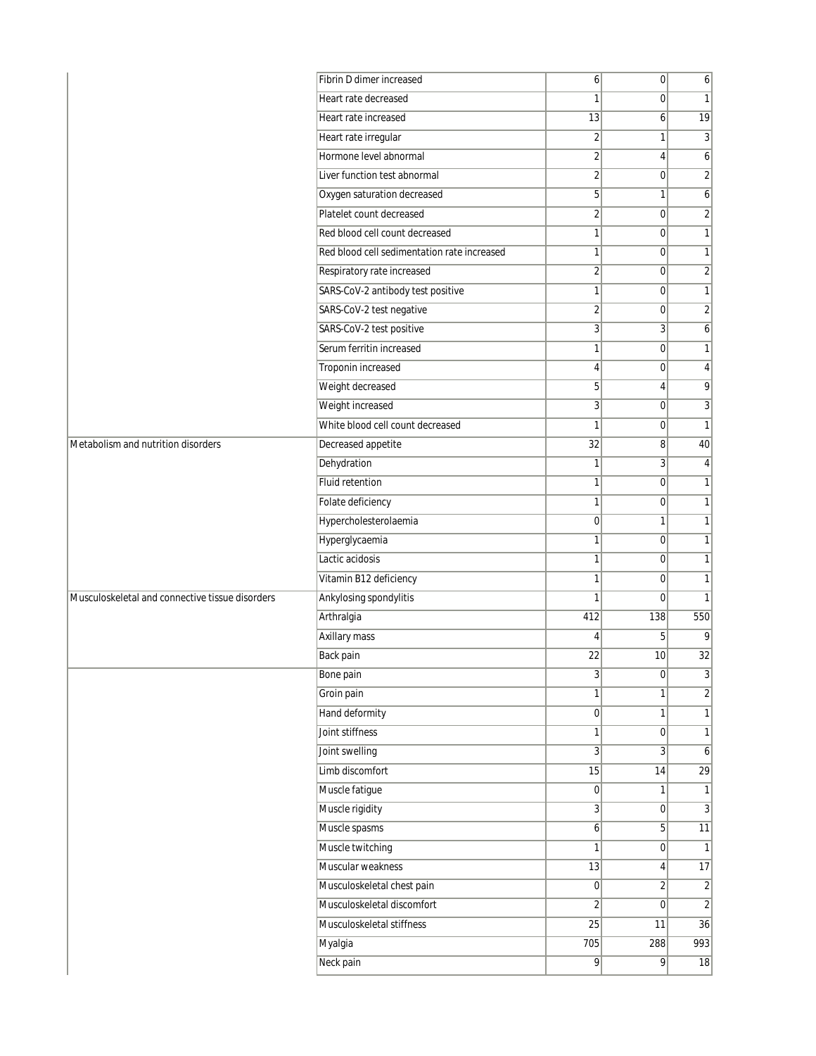| Fibrin D dimer increased                                                  | $\mathbf{6}$   | $\overline{0}$ | 6                |
|---------------------------------------------------------------------------|----------------|----------------|------------------|
| Heart rate decreased                                                      | 1              | $\Omega$       | $\mathbf{1}$     |
| Heart rate increased                                                      | 13             | 6              | $\overline{19}$  |
| Heart rate irregular                                                      | $\overline{2}$ | 1              | 3                |
| Hormone level abnormal                                                    | $\sqrt{2}$     | 4              | 6                |
| Liver function test abnormal                                              | $\sqrt{2}$     | 0              | $\overline{2}$   |
| Oxygen saturation decreased                                               | 5              | 1              | 6                |
| Platelet count decreased                                                  | $\overline{2}$ | 0              | $\overline{2}$   |
| Red blood cell count decreased                                            | $\mathbf{1}$   | 0              | $\mathbf{1}$     |
| Red blood cell sedimentation rate increased                               | 1              | 0              | 1                |
| Respiratory rate increased                                                | $\overline{2}$ | 0              | $\sqrt{2}$       |
| SARS-CoV-2 antibody test positive                                         | 1              | $\mathbf 0$    | $\mathbf{1}$     |
| SARS-CoV-2 test negative                                                  | $\overline{2}$ | 0              | $\sqrt{2}$       |
| SARS-CoV-2 test positive                                                  | 3              | 3              | 6                |
| Serum ferritin increased                                                  | $\mathbf{1}$   | 0              | 1                |
| Troponin increased                                                        | $\overline{4}$ | 0              | 4                |
| Weight decreased                                                          | 5              | 4              | 9                |
| Weight increased                                                          | 3              | 0              | 3                |
| White blood cell count decreased                                          | 1              | 0              | $\mathbf{1}$     |
| Metabolism and nutrition disorders<br>Decreased appetite                  | 32             | 8              | 40               |
| Dehydration                                                               | $\mathbf{1}$   | 3              | 4                |
| Fluid retention                                                           | 1              | $\mathbf 0$    | $\mathbf{1}$     |
| Folate deficiency                                                         | 1              | 0              | 1                |
| Hypercholesterolaemia                                                     | $\mathbf 0$    | 1              | $\mathbf{1}$     |
| Hyperglycaemia                                                            | $\mathbf{1}$   | 0              | 1                |
| Lactic acidosis                                                           | 1              | 0              | $\mathbf{1}$     |
| Vitamin B12 deficiency                                                    | $\mathbf{1}$   | 0              | $\mathbf{1}$     |
| Ankylosing spondylitis<br>Musculoskeletal and connective tissue disorders | $\mathbf{1}$   | 0              | 1                |
| Arthralgia                                                                | 412            | 138            | 550              |
| Axillary mass                                                             | 4              | 5              | 9                |
| Back pain                                                                 | 22             | 10             | $\overline{32}$  |
| Bone pain                                                                 | $\frac{3}{2}$  | $\overline{0}$ | $\frac{3}{2}$    |
| Groin pain                                                                | $\mathbf{1}$   | 1              | $\sqrt{2}$       |
| Hand deformity                                                            | 0              | 1              | $\mathbf{1}$     |
| Joint stiffness                                                           | $\mathbf{1}$   | $\mathbf 0$    | $\mathbf{1}$     |
| Joint swelling                                                            | $\overline{3}$ | 3 <sup>1</sup> | 6                |
| Limb discomfort                                                           | 15             | 14             | 29               |
| Muscle fatigue                                                            | $\overline{0}$ | 1              | $\mathbf{1}$     |
| Muscle rigidity                                                           | 3              | $\overline{0}$ | $\sqrt{3}$       |
| Muscle spasms                                                             | $\mathbf{6}$   | 5              | 11               |
| Muscle twitching                                                          | $\mathbf{1}$   | $\overline{0}$ | $\mathbf{1}$     |
| Muscular weakness                                                         | 13             | 4              | 17               |
| Musculoskeletal chest pain                                                | 0              | 2              | $\overline{2}$   |
| Musculoskeletal discomfort                                                | $\overline{2}$ | $\overline{0}$ | $\overline{2}$   |
| Musculoskeletal stiffness                                                 | 25             | 11             | 36               |
| Myalgia                                                                   | 705            | 288            | $\overline{993}$ |
| Neck pain                                                                 | $\overline{9}$ | 9              | 18               |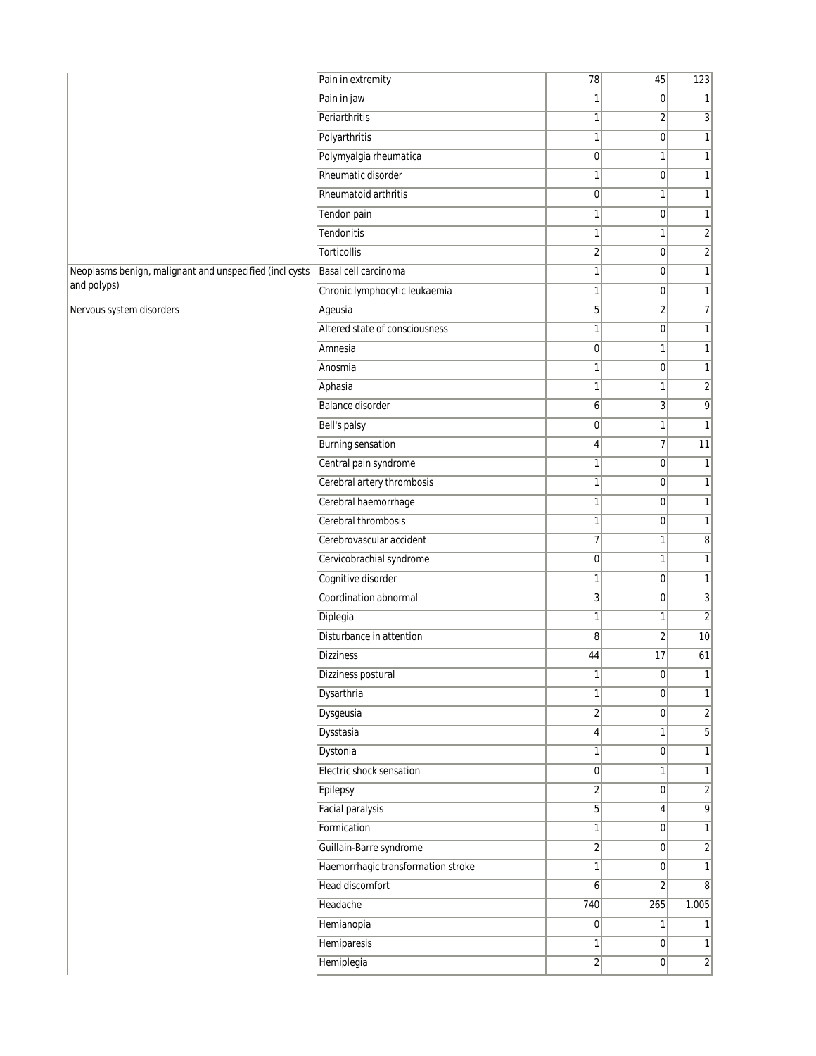|                                                         | Pain in extremity                  | 78               | 45              | 123                          |
|---------------------------------------------------------|------------------------------------|------------------|-----------------|------------------------------|
|                                                         | Pain in jaw                        | 1                | 0               | 1                            |
|                                                         | Periarthritis                      | 1                | 2               | 3                            |
|                                                         | Polyarthritis                      | 1                | $\overline{0}$  | $\mathbf{1}$                 |
|                                                         | Polymyalgia rheumatica             | $\mathbf 0$      | 1               | $\mathbf{1}$                 |
|                                                         | Rheumatic disorder                 | $\mathbf{1}$     | $\overline{0}$  | $\mathbf{1}$                 |
|                                                         | Rheumatoid arthritis               | $\overline{0}$   | 1               | 1                            |
|                                                         | Tendon pain                        | 1                | 0               | 1                            |
|                                                         | Tendonitis                         | 1                | 1               | $\left  \frac{2}{2} \right $ |
|                                                         | Torticollis                        | $\sqrt{2}$       | 0               | $\left  \frac{2}{2} \right $ |
| Neoplasms benign, malignant and unspecified (incl cysts | Basal cell carcinoma               | 1                | $\overline{0}$  | 1                            |
| and polyps)                                             | Chronic lymphocytic leukaemia      | 1                | $\overline{0}$  | 1                            |
| Nervous system disorders                                | Ageusia                            | 5                | 2               | $\overline{7}$               |
|                                                         | Altered state of consciousness     | 1                | 0               | $\mathbf{1}$                 |
|                                                         | Amnesia                            | $\mathbf 0$      | 1               | $\mathbf{1}$                 |
|                                                         | Anosmia                            | 1                | $\overline{0}$  | $\mathbf{1}$                 |
|                                                         | Aphasia                            | 1                | 1               | $\overline{2}$               |
|                                                         | <b>Balance disorder</b>            | 6                | 3               | $\overline{9}$               |
|                                                         | Bell's palsy                       | $\boldsymbol{0}$ | 1               | $\mathbf{1}$                 |
|                                                         | <b>Burning sensation</b>           | 4                | 7               | 11                           |
|                                                         | Central pain syndrome              | 1                | $\overline{0}$  | $\mathbf{1}$                 |
|                                                         | Cerebral artery thrombosis         | 1                | $\overline{0}$  | 1                            |
|                                                         | Cerebral haemorrhage               | 1                | 0               | 1                            |
|                                                         | Cerebral thrombosis                | 1                | 0               | $\mathbf{1}$                 |
|                                                         | Cerebrovascular accident           | 7                | 1               | 8 <sup>2</sup>               |
|                                                         | Cervicobrachial syndrome           | $\overline{0}$   | 1               | 1                            |
|                                                         | Cognitive disorder                 | 1                | $\overline{0}$  | 1                            |
|                                                         | Coordination abnormal              | 3                | 0               | 3                            |
|                                                         | Diplegia                           | 1                | 1               | $\overline{2}$               |
|                                                         | Disturbance in attention           | 8                | $\overline{2}$  | 10                           |
|                                                         | <b>Dizziness</b>                   | 44               | 17              | 61                           |
|                                                         | Dizziness postural                 | L                | $\vert 0 \vert$ |                              |
|                                                         | Dysarthria                         | $\mathbf{1}$     | $\overline{0}$  | 1                            |
|                                                         | Dysgeusia                          | $\overline{2}$   | $\overline{0}$  | $\left  \frac{2}{2} \right $ |
|                                                         | Dysstasia                          | 4                | 1               | $\overline{5}$               |
|                                                         | Dystonia                           | 1                | $\overline{0}$  | 1                            |
|                                                         | Electric shock sensation           | 0                | 1               | 1                            |
|                                                         | Epilepsy                           | $\overline{2}$   | $\overline{0}$  | $\overline{2}$               |
|                                                         | <b>Facial paralysis</b>            | 5 <sup>1</sup>   | 4               | $\overline{9}$               |
|                                                         | Formication                        | 1                | $\overline{0}$  | 1                            |
|                                                         | Guillain-Barre syndrome            | $\overline{2}$   | $\overline{0}$  | $\overline{2}$               |
|                                                         | Haemorrhagic transformation stroke | $\mathbf{1}$     | 0               | 1                            |
|                                                         | <b>Head discomfort</b>             | $\mathbf{6}$     | $\overline{2}$  | 8                            |
|                                                         | Headache                           | 740              | 265             | 1.005                        |
|                                                         | Hemianopia                         | 0                | 1               | 1 <sup>1</sup>               |
|                                                         | Hemiparesis                        | 1                | $\overline{0}$  | 1                            |
|                                                         | Hemiplegia                         | $\overline{2}$   | $\overline{0}$  | $\overline{2}$               |
|                                                         |                                    |                  |                 |                              |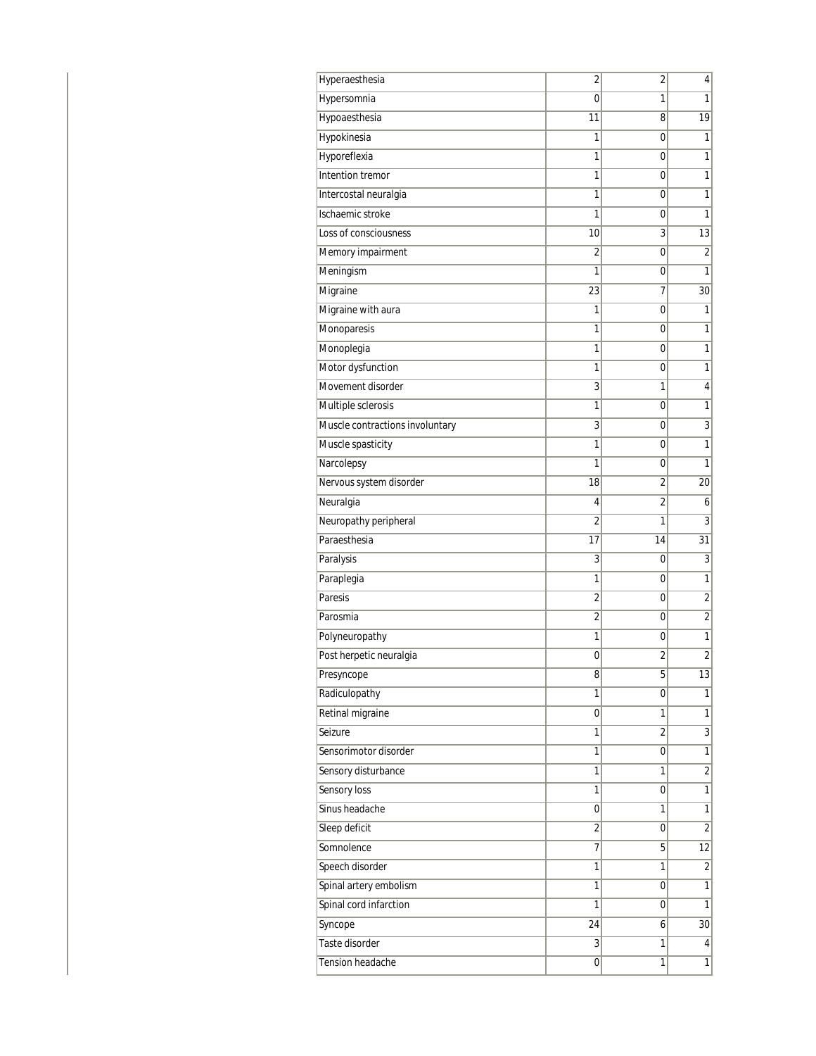| 1<br>Hypersomnia<br>0<br>1<br>Hypoaesthesia<br>19<br>11<br>8<br>1<br>Hypokinesia<br>1<br>0<br>Hyporeflexia<br>1<br>1<br>0<br>Intention tremor<br>1<br>1<br>0<br>1<br>Intercostal neuralgia<br>1<br>0<br>Ischaemic stroke<br>1<br>1<br>0<br>Loss of consciousness<br>3<br>13<br>10<br>Memory impairment<br>$\overline{2}$<br>$\overline{c}$<br>0<br>Meningism<br>$\mathbf{1}$<br>1<br>0<br>Migraine<br>23<br>30<br>7<br>Migraine with aura<br>1<br>0<br>1<br>$\mathbf{1}$<br>1<br>Monoparesis<br>0<br>Monoplegia<br>1<br>1<br>0<br>Motor dysfunction<br>$\mathbf{1}$<br>1<br>0<br>Movement disorder<br>3<br>1<br>4<br>Multiple sclerosis<br>1<br>1<br>0<br>3<br>$\overline{3}$<br>Muscle contractions involuntary<br>0<br>Muscle spasticity<br>1<br>1<br>0<br>Narcolepsy<br>$\mathbf{1}$<br>1<br>0<br>Nervous system disorder<br>18<br>20<br>2<br>Neuralgia<br>2<br>6<br>4<br>$\overline{3}$<br>$\overline{2}$<br>Neuropathy peripheral<br>1<br>Paraesthesia<br>17<br>14<br>31<br>3<br>Paralysis<br>3<br>0<br>Paraplegia<br>1<br>1<br>0<br>$\overline{2}$<br>Paresis<br>2<br>0<br>$\overline{2}$<br>$\overline{2}$<br>Parosmia<br>0<br>Polyneuropathy<br>1<br>1<br>0<br>Post herpetic neuralgia<br>$\overline{2}$<br>2<br>0<br>Presyncope<br>8<br>5<br>Radiculopathy<br>$\mathbf{1}$<br>1<br>0<br>Retinal migraine<br>$\mathbf{1}$<br>1<br>0<br>$\overline{3}$<br>Seizure<br>1<br>2<br>Sensorimotor disorder<br>$\overline{1}$<br>0<br>1<br>Sensory disturbance<br>$\overline{c}$<br>1<br>1<br>Sensory loss<br>$\overline{1}$<br>1<br>0<br>Sinus headache<br>$\mathbf{1}$<br>1<br>0<br>$\overline{2}$<br>Sleep deficit<br>2<br>0<br>Somnolence<br>7<br>5<br>12<br>Speech disorder<br>$\sqrt{2}$<br>1<br>1<br>Spinal artery embolism<br>$\overline{1}$<br>1<br>0<br>Spinal cord infarction<br>$\mathbf{1}$<br>1<br>0<br>Syncope<br>24<br>6<br>30 <sup>2</sup><br>Taste disorder<br>1<br>3<br>$\vert 4 \vert$<br>Tension headache<br>1<br>0<br>1 | Hyperaesthesia | 2 | 2 | 4  |
|-----------------------------------------------------------------------------------------------------------------------------------------------------------------------------------------------------------------------------------------------------------------------------------------------------------------------------------------------------------------------------------------------------------------------------------------------------------------------------------------------------------------------------------------------------------------------------------------------------------------------------------------------------------------------------------------------------------------------------------------------------------------------------------------------------------------------------------------------------------------------------------------------------------------------------------------------------------------------------------------------------------------------------------------------------------------------------------------------------------------------------------------------------------------------------------------------------------------------------------------------------------------------------------------------------------------------------------------------------------------------------------------------------------------------------------------------------------------------------------------------------------------------------------------------------------------------------------------------------------------------------------------------------------------------------------------------------------------------------------------------------------------------------------------------------------------------------------------------------------------------------------------------------------------------------------------------|----------------|---|---|----|
|                                                                                                                                                                                                                                                                                                                                                                                                                                                                                                                                                                                                                                                                                                                                                                                                                                                                                                                                                                                                                                                                                                                                                                                                                                                                                                                                                                                                                                                                                                                                                                                                                                                                                                                                                                                                                                                                                                                                               |                |   |   |    |
|                                                                                                                                                                                                                                                                                                                                                                                                                                                                                                                                                                                                                                                                                                                                                                                                                                                                                                                                                                                                                                                                                                                                                                                                                                                                                                                                                                                                                                                                                                                                                                                                                                                                                                                                                                                                                                                                                                                                               |                |   |   |    |
|                                                                                                                                                                                                                                                                                                                                                                                                                                                                                                                                                                                                                                                                                                                                                                                                                                                                                                                                                                                                                                                                                                                                                                                                                                                                                                                                                                                                                                                                                                                                                                                                                                                                                                                                                                                                                                                                                                                                               |                |   |   |    |
|                                                                                                                                                                                                                                                                                                                                                                                                                                                                                                                                                                                                                                                                                                                                                                                                                                                                                                                                                                                                                                                                                                                                                                                                                                                                                                                                                                                                                                                                                                                                                                                                                                                                                                                                                                                                                                                                                                                                               |                |   |   |    |
|                                                                                                                                                                                                                                                                                                                                                                                                                                                                                                                                                                                                                                                                                                                                                                                                                                                                                                                                                                                                                                                                                                                                                                                                                                                                                                                                                                                                                                                                                                                                                                                                                                                                                                                                                                                                                                                                                                                                               |                |   |   |    |
|                                                                                                                                                                                                                                                                                                                                                                                                                                                                                                                                                                                                                                                                                                                                                                                                                                                                                                                                                                                                                                                                                                                                                                                                                                                                                                                                                                                                                                                                                                                                                                                                                                                                                                                                                                                                                                                                                                                                               |                |   |   |    |
|                                                                                                                                                                                                                                                                                                                                                                                                                                                                                                                                                                                                                                                                                                                                                                                                                                                                                                                                                                                                                                                                                                                                                                                                                                                                                                                                                                                                                                                                                                                                                                                                                                                                                                                                                                                                                                                                                                                                               |                |   |   |    |
|                                                                                                                                                                                                                                                                                                                                                                                                                                                                                                                                                                                                                                                                                                                                                                                                                                                                                                                                                                                                                                                                                                                                                                                                                                                                                                                                                                                                                                                                                                                                                                                                                                                                                                                                                                                                                                                                                                                                               |                |   |   |    |
|                                                                                                                                                                                                                                                                                                                                                                                                                                                                                                                                                                                                                                                                                                                                                                                                                                                                                                                                                                                                                                                                                                                                                                                                                                                                                                                                                                                                                                                                                                                                                                                                                                                                                                                                                                                                                                                                                                                                               |                |   |   |    |
|                                                                                                                                                                                                                                                                                                                                                                                                                                                                                                                                                                                                                                                                                                                                                                                                                                                                                                                                                                                                                                                                                                                                                                                                                                                                                                                                                                                                                                                                                                                                                                                                                                                                                                                                                                                                                                                                                                                                               |                |   |   |    |
|                                                                                                                                                                                                                                                                                                                                                                                                                                                                                                                                                                                                                                                                                                                                                                                                                                                                                                                                                                                                                                                                                                                                                                                                                                                                                                                                                                                                                                                                                                                                                                                                                                                                                                                                                                                                                                                                                                                                               |                |   |   |    |
|                                                                                                                                                                                                                                                                                                                                                                                                                                                                                                                                                                                                                                                                                                                                                                                                                                                                                                                                                                                                                                                                                                                                                                                                                                                                                                                                                                                                                                                                                                                                                                                                                                                                                                                                                                                                                                                                                                                                               |                |   |   |    |
|                                                                                                                                                                                                                                                                                                                                                                                                                                                                                                                                                                                                                                                                                                                                                                                                                                                                                                                                                                                                                                                                                                                                                                                                                                                                                                                                                                                                                                                                                                                                                                                                                                                                                                                                                                                                                                                                                                                                               |                |   |   |    |
|                                                                                                                                                                                                                                                                                                                                                                                                                                                                                                                                                                                                                                                                                                                                                                                                                                                                                                                                                                                                                                                                                                                                                                                                                                                                                                                                                                                                                                                                                                                                                                                                                                                                                                                                                                                                                                                                                                                                               |                |   |   |    |
|                                                                                                                                                                                                                                                                                                                                                                                                                                                                                                                                                                                                                                                                                                                                                                                                                                                                                                                                                                                                                                                                                                                                                                                                                                                                                                                                                                                                                                                                                                                                                                                                                                                                                                                                                                                                                                                                                                                                               |                |   |   |    |
|                                                                                                                                                                                                                                                                                                                                                                                                                                                                                                                                                                                                                                                                                                                                                                                                                                                                                                                                                                                                                                                                                                                                                                                                                                                                                                                                                                                                                                                                                                                                                                                                                                                                                                                                                                                                                                                                                                                                               |                |   |   |    |
|                                                                                                                                                                                                                                                                                                                                                                                                                                                                                                                                                                                                                                                                                                                                                                                                                                                                                                                                                                                                                                                                                                                                                                                                                                                                                                                                                                                                                                                                                                                                                                                                                                                                                                                                                                                                                                                                                                                                               |                |   |   |    |
|                                                                                                                                                                                                                                                                                                                                                                                                                                                                                                                                                                                                                                                                                                                                                                                                                                                                                                                                                                                                                                                                                                                                                                                                                                                                                                                                                                                                                                                                                                                                                                                                                                                                                                                                                                                                                                                                                                                                               |                |   |   |    |
|                                                                                                                                                                                                                                                                                                                                                                                                                                                                                                                                                                                                                                                                                                                                                                                                                                                                                                                                                                                                                                                                                                                                                                                                                                                                                                                                                                                                                                                                                                                                                                                                                                                                                                                                                                                                                                                                                                                                               |                |   |   |    |
|                                                                                                                                                                                                                                                                                                                                                                                                                                                                                                                                                                                                                                                                                                                                                                                                                                                                                                                                                                                                                                                                                                                                                                                                                                                                                                                                                                                                                                                                                                                                                                                                                                                                                                                                                                                                                                                                                                                                               |                |   |   |    |
|                                                                                                                                                                                                                                                                                                                                                                                                                                                                                                                                                                                                                                                                                                                                                                                                                                                                                                                                                                                                                                                                                                                                                                                                                                                                                                                                                                                                                                                                                                                                                                                                                                                                                                                                                                                                                                                                                                                                               |                |   |   |    |
|                                                                                                                                                                                                                                                                                                                                                                                                                                                                                                                                                                                                                                                                                                                                                                                                                                                                                                                                                                                                                                                                                                                                                                                                                                                                                                                                                                                                                                                                                                                                                                                                                                                                                                                                                                                                                                                                                                                                               |                |   |   |    |
|                                                                                                                                                                                                                                                                                                                                                                                                                                                                                                                                                                                                                                                                                                                                                                                                                                                                                                                                                                                                                                                                                                                                                                                                                                                                                                                                                                                                                                                                                                                                                                                                                                                                                                                                                                                                                                                                                                                                               |                |   |   |    |
|                                                                                                                                                                                                                                                                                                                                                                                                                                                                                                                                                                                                                                                                                                                                                                                                                                                                                                                                                                                                                                                                                                                                                                                                                                                                                                                                                                                                                                                                                                                                                                                                                                                                                                                                                                                                                                                                                                                                               |                |   |   |    |
|                                                                                                                                                                                                                                                                                                                                                                                                                                                                                                                                                                                                                                                                                                                                                                                                                                                                                                                                                                                                                                                                                                                                                                                                                                                                                                                                                                                                                                                                                                                                                                                                                                                                                                                                                                                                                                                                                                                                               |                |   |   |    |
|                                                                                                                                                                                                                                                                                                                                                                                                                                                                                                                                                                                                                                                                                                                                                                                                                                                                                                                                                                                                                                                                                                                                                                                                                                                                                                                                                                                                                                                                                                                                                                                                                                                                                                                                                                                                                                                                                                                                               |                |   |   |    |
|                                                                                                                                                                                                                                                                                                                                                                                                                                                                                                                                                                                                                                                                                                                                                                                                                                                                                                                                                                                                                                                                                                                                                                                                                                                                                                                                                                                                                                                                                                                                                                                                                                                                                                                                                                                                                                                                                                                                               |                |   |   |    |
|                                                                                                                                                                                                                                                                                                                                                                                                                                                                                                                                                                                                                                                                                                                                                                                                                                                                                                                                                                                                                                                                                                                                                                                                                                                                                                                                                                                                                                                                                                                                                                                                                                                                                                                                                                                                                                                                                                                                               |                |   |   |    |
|                                                                                                                                                                                                                                                                                                                                                                                                                                                                                                                                                                                                                                                                                                                                                                                                                                                                                                                                                                                                                                                                                                                                                                                                                                                                                                                                                                                                                                                                                                                                                                                                                                                                                                                                                                                                                                                                                                                                               |                |   |   |    |
|                                                                                                                                                                                                                                                                                                                                                                                                                                                                                                                                                                                                                                                                                                                                                                                                                                                                                                                                                                                                                                                                                                                                                                                                                                                                                                                                                                                                                                                                                                                                                                                                                                                                                                                                                                                                                                                                                                                                               |                |   |   |    |
|                                                                                                                                                                                                                                                                                                                                                                                                                                                                                                                                                                                                                                                                                                                                                                                                                                                                                                                                                                                                                                                                                                                                                                                                                                                                                                                                                                                                                                                                                                                                                                                                                                                                                                                                                                                                                                                                                                                                               |                |   |   | 13 |
|                                                                                                                                                                                                                                                                                                                                                                                                                                                                                                                                                                                                                                                                                                                                                                                                                                                                                                                                                                                                                                                                                                                                                                                                                                                                                                                                                                                                                                                                                                                                                                                                                                                                                                                                                                                                                                                                                                                                               |                |   |   |    |
|                                                                                                                                                                                                                                                                                                                                                                                                                                                                                                                                                                                                                                                                                                                                                                                                                                                                                                                                                                                                                                                                                                                                                                                                                                                                                                                                                                                                                                                                                                                                                                                                                                                                                                                                                                                                                                                                                                                                               |                |   |   |    |
|                                                                                                                                                                                                                                                                                                                                                                                                                                                                                                                                                                                                                                                                                                                                                                                                                                                                                                                                                                                                                                                                                                                                                                                                                                                                                                                                                                                                                                                                                                                                                                                                                                                                                                                                                                                                                                                                                                                                               |                |   |   |    |
|                                                                                                                                                                                                                                                                                                                                                                                                                                                                                                                                                                                                                                                                                                                                                                                                                                                                                                                                                                                                                                                                                                                                                                                                                                                                                                                                                                                                                                                                                                                                                                                                                                                                                                                                                                                                                                                                                                                                               |                |   |   |    |
|                                                                                                                                                                                                                                                                                                                                                                                                                                                                                                                                                                                                                                                                                                                                                                                                                                                                                                                                                                                                                                                                                                                                                                                                                                                                                                                                                                                                                                                                                                                                                                                                                                                                                                                                                                                                                                                                                                                                               |                |   |   |    |
|                                                                                                                                                                                                                                                                                                                                                                                                                                                                                                                                                                                                                                                                                                                                                                                                                                                                                                                                                                                                                                                                                                                                                                                                                                                                                                                                                                                                                                                                                                                                                                                                                                                                                                                                                                                                                                                                                                                                               |                |   |   |    |
|                                                                                                                                                                                                                                                                                                                                                                                                                                                                                                                                                                                                                                                                                                                                                                                                                                                                                                                                                                                                                                                                                                                                                                                                                                                                                                                                                                                                                                                                                                                                                                                                                                                                                                                                                                                                                                                                                                                                               |                |   |   |    |
|                                                                                                                                                                                                                                                                                                                                                                                                                                                                                                                                                                                                                                                                                                                                                                                                                                                                                                                                                                                                                                                                                                                                                                                                                                                                                                                                                                                                                                                                                                                                                                                                                                                                                                                                                                                                                                                                                                                                               |                |   |   |    |
|                                                                                                                                                                                                                                                                                                                                                                                                                                                                                                                                                                                                                                                                                                                                                                                                                                                                                                                                                                                                                                                                                                                                                                                                                                                                                                                                                                                                                                                                                                                                                                                                                                                                                                                                                                                                                                                                                                                                               |                |   |   |    |
|                                                                                                                                                                                                                                                                                                                                                                                                                                                                                                                                                                                                                                                                                                                                                                                                                                                                                                                                                                                                                                                                                                                                                                                                                                                                                                                                                                                                                                                                                                                                                                                                                                                                                                                                                                                                                                                                                                                                               |                |   |   |    |
|                                                                                                                                                                                                                                                                                                                                                                                                                                                                                                                                                                                                                                                                                                                                                                                                                                                                                                                                                                                                                                                                                                                                                                                                                                                                                                                                                                                                                                                                                                                                                                                                                                                                                                                                                                                                                                                                                                                                               |                |   |   |    |
|                                                                                                                                                                                                                                                                                                                                                                                                                                                                                                                                                                                                                                                                                                                                                                                                                                                                                                                                                                                                                                                                                                                                                                                                                                                                                                                                                                                                                                                                                                                                                                                                                                                                                                                                                                                                                                                                                                                                               |                |   |   |    |
|                                                                                                                                                                                                                                                                                                                                                                                                                                                                                                                                                                                                                                                                                                                                                                                                                                                                                                                                                                                                                                                                                                                                                                                                                                                                                                                                                                                                                                                                                                                                                                                                                                                                                                                                                                                                                                                                                                                                               |                |   |   |    |
|                                                                                                                                                                                                                                                                                                                                                                                                                                                                                                                                                                                                                                                                                                                                                                                                                                                                                                                                                                                                                                                                                                                                                                                                                                                                                                                                                                                                                                                                                                                                                                                                                                                                                                                                                                                                                                                                                                                                               |                |   |   |    |
|                                                                                                                                                                                                                                                                                                                                                                                                                                                                                                                                                                                                                                                                                                                                                                                                                                                                                                                                                                                                                                                                                                                                                                                                                                                                                                                                                                                                                                                                                                                                                                                                                                                                                                                                                                                                                                                                                                                                               |                |   |   |    |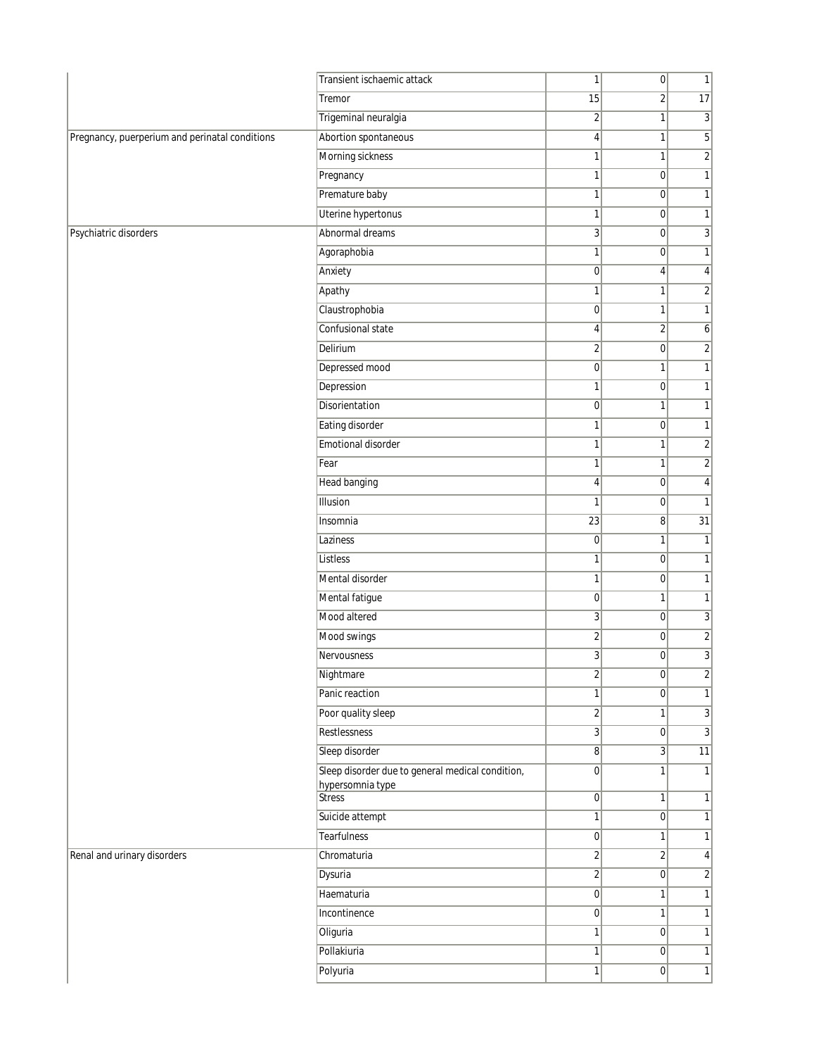|                                                | Transient ischaemic attack                       | 1                                | 0                                | $\mathbf{1}$            |
|------------------------------------------------|--------------------------------------------------|----------------------------------|----------------------------------|-------------------------|
|                                                | Tremor                                           | 15                               | $\overline{2}$                   | 17                      |
|                                                | Trigeminal neuralgia                             | $\overline{2}$                   | 1                                | 3                       |
| Pregnancy, puerperium and perinatal conditions | Abortion spontaneous                             | $\overline{4}$                   | 1                                | 5                       |
|                                                | Morning sickness                                 | $\mathbf{1}$                     | 1                                | $\overline{\mathbf{c}}$ |
|                                                | Pregnancy                                        | 1                                | $\overline{0}$                   | $\mathbf{1}$            |
|                                                | Premature baby                                   | 1                                | $\overline{0}$                   | $\mathbf{1}$            |
|                                                | Uterine hypertonus                               | $\mathbf{1}$                     | $\overline{0}$                   | $\mathbf{1}$            |
| Psychiatric disorders                          | Abnormal dreams                                  | 3                                | $\overline{0}$                   | 3                       |
|                                                | Agoraphobia                                      | $\mathbf{1}$                     | 0                                | $\mathbf{1}$            |
|                                                | Anxiety                                          | $\overline{0}$                   | 4                                | 4                       |
|                                                | Apathy                                           | $\mathbf{1}$                     | 1                                | $\sqrt{2}$              |
|                                                | Claustrophobia                                   | $\overline{0}$                   | 1                                | $\mathbf{1}$            |
|                                                | Confusional state                                | 4                                | $\overline{\mathbf{c}}$          | 6                       |
|                                                | Delirium                                         | $\sqrt{2}$                       | 0                                | $\overline{\mathbf{c}}$ |
|                                                | Depressed mood                                   | $\overline{0}$                   | 1                                | $\mathbf{1}$            |
|                                                | Depression                                       | $\mathbf{1}$                     | 0                                | $\mathbf{1}$            |
|                                                | Disorientation                                   | $\overline{0}$                   | 1                                | $\mathbf{1}$            |
|                                                | Eating disorder                                  | 1                                | $\vert 0 \vert$                  | $\mathbf{1}$            |
|                                                | Emotional disorder                               | $\mathbf{1}$                     | $\mathbf{1}$                     | $\overline{2}$          |
|                                                | Fear                                             | 1                                | 1                                | $\overline{2}$          |
|                                                | Head banging                                     | 4                                | $\overline{0}$                   | $\pmb{4}$               |
|                                                | Illusion                                         | $\mathbf{1}$                     | $\overline{0}$                   | $\mathbf{1}$            |
|                                                | Insomnia                                         | 23                               | 8                                | $\overline{31}$         |
|                                                | Laziness                                         | $\pmb{0}$                        | 1                                | $\mathbf{1}$            |
|                                                | Listless                                         | $\mathbf{1}$                     | $\overline{0}$                   | $\mathbf{1}$            |
|                                                | Mental disorder                                  | $\mathbf{1}$                     | 0                                | $\mathbf{1}$            |
|                                                | Mental fatigue                                   | $\overline{0}$                   | 1                                | $\mathbf{1}$            |
|                                                | Mood altered                                     | $\overline{3}$                   | $\vert 0 \vert$                  | 3                       |
|                                                | Mood swings                                      | $\overline{2}$                   | 0                                | $\overline{\mathbf{c}}$ |
|                                                | Nervousness                                      | $\overline{3}$                   | $\overline{0}$                   | $\overline{3}$          |
|                                                | Nightmare                                        | $\overline{2}$                   | $\overline{0}$                   | $\frac{2}{ }$           |
|                                                | Panic reaction                                   | $\mathbf{1}$                     | $\overline{0}$                   | $\mathbf{1}$            |
|                                                | Poor quality sleep                               | $\overline{2}$                   | 1                                | $\mathbf{3}$            |
|                                                | Restlessness                                     | $\overline{3}$                   | 0                                | $\overline{3}$          |
|                                                | Sleep disorder                                   | 8 <sup>1</sup>                   | 3 <sup>1</sup>                   | $\overline{11}$         |
|                                                | Sleep disorder due to general medical condition, | 0                                | 1                                | $\mathbf{1}$            |
|                                                | hypersomnia type<br><b>Stress</b>                | 0                                | 1                                | $\mathbf{1}$            |
|                                                | Suicide attempt                                  | $\mathbf{1}$                     | $\overline{0}$                   | 1                       |
|                                                | <b>Tearfulness</b>                               |                                  | $\mathbf{1}$                     | $\mathbf{1}$            |
|                                                |                                                  | $\overline{0}$                   |                                  |                         |
| Renal and urinary disorders                    | Chromaturia<br>Dysuria                           | $\overline{2}$<br>$\overline{2}$ | $\overline{2}$<br>$\overline{0}$ | 4<br>$\overline{2}$     |
|                                                |                                                  |                                  |                                  |                         |
|                                                | Haematuria                                       | 0                                | 1                                | $\mathbf{1}$            |
|                                                | Incontinence                                     | 0                                | 1                                | $\mathbf{1}$            |
|                                                | Oliguria                                         | $\mathbf{1}$                     | $\overline{0}$                   | $\mathbf{1}$            |
|                                                | Pollakiuria                                      | $\mathbf{1}$                     | 0                                | $\mathbf{1}$            |
|                                                | Polyuria                                         | $\mathbf{1}$                     | $\overline{0}$                   | $\mathbf{1}$            |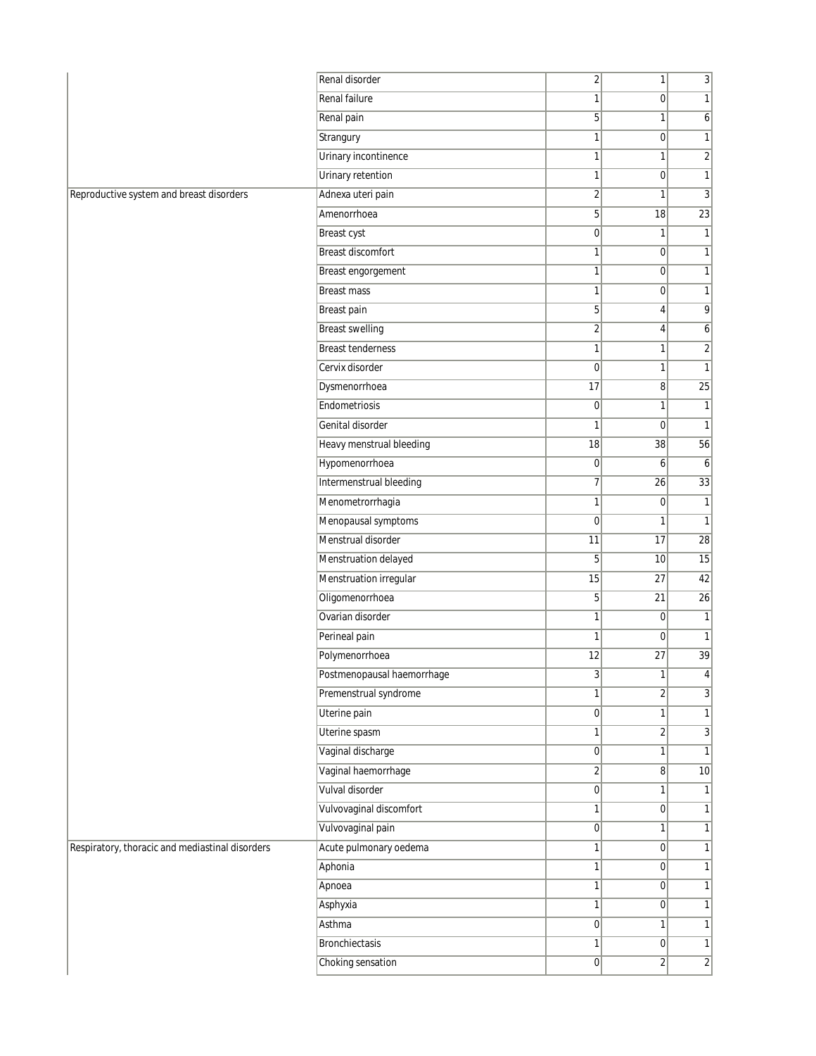| Renal failure<br>1<br>0<br>1<br>5 <sup>1</sup><br>Renal pain<br>1<br>6<br>Strangury<br>$\mathbf{1}$<br>$\mathbf{1}$<br>$\overline{0}$<br>Urinary incontinence<br>$\mathbf{1}$<br>$\overline{c}$<br>1<br>Urinary retention<br>$\mathbf{1}$<br> 0 <br>$\mathbf{1}$<br>Adnexa uteri pain<br>$\overline{\mathbf{c}}$<br>3<br>1<br>5 <sup>1</sup><br>$\overline{23}$<br>Amenorrhoea<br>18<br><b>Breast cyst</b><br> 0 <br>1<br>$\mathbf{1}$<br><b>Breast discomfort</b><br>$\mathbf{1}$<br> 0 <br>$\mathbf{1}$<br>Breast engorgement<br>$\mathbf{1}$<br> 0 <br>$\mathbf{1}$<br><b>Breast mass</b><br>$\mathbf{1}$<br>$\overline{0}$<br>1<br>5 <sup>1</sup><br>9<br>Breast pain<br>$\vert 4 \vert$<br><b>Breast swelling</b><br>$\overline{2}$<br>4<br>6<br><b>Breast tenderness</b><br>$\mathbf{1}$<br>$\overline{c}$<br>1<br>$\mathbf{1}$<br>Cervix disorder<br>$\overline{0}$<br>1<br>Dysmenorrhoea<br>17<br>25<br>8<br>Endometriosis<br>$\overline{0}$<br>1<br>$\mathbf{1}$<br>Genital disorder<br>$\mathbf{1}$<br>1<br>$\overline{0}$<br>Heavy menstrual bleeding<br>18<br>38<br>56<br>Hypomenorrhoea<br> 0 <br>6<br>6<br>Intermenstrual bleeding<br>7<br>33<br>26<br>Menometrorrhagia<br>$\mathbf{1}$<br> 0 <br>$\mathbf{1}$<br>Menopausal symptoms<br>$\mathbf{1}$<br>$\overline{0}$<br>1<br>Menstrual disorder<br>11<br>17<br>$\overline{28}$<br>Menstruation delayed<br>5 <sup>1</sup><br>10<br>15<br>Menstruation irregular<br>15<br>42<br>27<br>Oligomenorrhoea<br>5 <sup>1</sup><br>$\overline{26}$<br>21<br>Ovarian disorder<br>$\mathbf{1}$<br>$\overline{0}$<br>$\mathbf{1}$<br>Perineal pain<br>$\mathbf{1}$<br>$\overline{0}$<br>$\mathbf{1}$<br>39<br>Polymenorrhoea<br>12<br>27<br>Postmenopausal haemorrhage<br>3<br>1<br>4<br>Premenstrual syndrome<br>$\overline{2}$<br>$\overline{3}$<br>$1\vert$<br>Uterine pain<br> 0 <br>$\mathbf{1}$<br>1<br>Uterine spasm<br>$\mathbf{1}$<br>$\overline{2}$<br>3<br>Vaginal discharge<br> 0 <br>$\mathbf{1}$<br>1<br>Vaginal haemorrhage<br>$\overline{2}$<br>8 <sup>1</sup><br>10<br>Vulval disorder<br> 0 <br>$\mathbf{1}$<br>$\mathbf{1}$<br>Vulvovaginal discomfort<br>1<br>$\overline{0}$<br>$\mathbf{1}$<br>Vulvovaginal pain<br> 0 <br>$\mathbf{1}$<br>$\mathbf{1}$<br>Acute pulmonary oedema<br>$\mathbf{1}$<br> 0 <br>$\mathbf{1}$<br>Aphonia<br>1<br> 0 <br>$\mathbf{1}$<br>$\mathbf{1}$<br>1<br> 0 <br>Apnoea<br>Asphyxia<br>$\mathbf{1}$<br>$\overline{0}$<br>$\mathbf{1}$<br>Asthma<br> 0 <br>$\mathbf{1}$<br>$\mathbf{1}$<br>Bronchiectasis<br>$\mathbf{1}$<br> 0 <br>$\mathbf{1}$<br>Choking sensation<br> 0 <br>$\overline{2}$<br>$\overline{2}$ |                                                 | Renal disorder | $\overline{2}$ | $\mathbf{1}$ | $\overline{3}$ |
|------------------------------------------------------------------------------------------------------------------------------------------------------------------------------------------------------------------------------------------------------------------------------------------------------------------------------------------------------------------------------------------------------------------------------------------------------------------------------------------------------------------------------------------------------------------------------------------------------------------------------------------------------------------------------------------------------------------------------------------------------------------------------------------------------------------------------------------------------------------------------------------------------------------------------------------------------------------------------------------------------------------------------------------------------------------------------------------------------------------------------------------------------------------------------------------------------------------------------------------------------------------------------------------------------------------------------------------------------------------------------------------------------------------------------------------------------------------------------------------------------------------------------------------------------------------------------------------------------------------------------------------------------------------------------------------------------------------------------------------------------------------------------------------------------------------------------------------------------------------------------------------------------------------------------------------------------------------------------------------------------------------------------------------------------------------------------------------------------------------------------------------------------------------------------------------------------------------------------------------------------------------------------------------------------------------------------------------------------------------------------------------------------------------------------------------------------------------------------------------------------------------------------------------------------------------------------------------------------------------------|-------------------------------------------------|----------------|----------------|--------------|----------------|
|                                                                                                                                                                                                                                                                                                                                                                                                                                                                                                                                                                                                                                                                                                                                                                                                                                                                                                                                                                                                                                                                                                                                                                                                                                                                                                                                                                                                                                                                                                                                                                                                                                                                                                                                                                                                                                                                                                                                                                                                                                                                                                                                                                                                                                                                                                                                                                                                                                                                                                                                                                                                                        |                                                 |                |                |              |                |
|                                                                                                                                                                                                                                                                                                                                                                                                                                                                                                                                                                                                                                                                                                                                                                                                                                                                                                                                                                                                                                                                                                                                                                                                                                                                                                                                                                                                                                                                                                                                                                                                                                                                                                                                                                                                                                                                                                                                                                                                                                                                                                                                                                                                                                                                                                                                                                                                                                                                                                                                                                                                                        |                                                 |                |                |              |                |
|                                                                                                                                                                                                                                                                                                                                                                                                                                                                                                                                                                                                                                                                                                                                                                                                                                                                                                                                                                                                                                                                                                                                                                                                                                                                                                                                                                                                                                                                                                                                                                                                                                                                                                                                                                                                                                                                                                                                                                                                                                                                                                                                                                                                                                                                                                                                                                                                                                                                                                                                                                                                                        |                                                 |                |                |              |                |
|                                                                                                                                                                                                                                                                                                                                                                                                                                                                                                                                                                                                                                                                                                                                                                                                                                                                                                                                                                                                                                                                                                                                                                                                                                                                                                                                                                                                                                                                                                                                                                                                                                                                                                                                                                                                                                                                                                                                                                                                                                                                                                                                                                                                                                                                                                                                                                                                                                                                                                                                                                                                                        |                                                 |                |                |              |                |
|                                                                                                                                                                                                                                                                                                                                                                                                                                                                                                                                                                                                                                                                                                                                                                                                                                                                                                                                                                                                                                                                                                                                                                                                                                                                                                                                                                                                                                                                                                                                                                                                                                                                                                                                                                                                                                                                                                                                                                                                                                                                                                                                                                                                                                                                                                                                                                                                                                                                                                                                                                                                                        |                                                 |                |                |              |                |
|                                                                                                                                                                                                                                                                                                                                                                                                                                                                                                                                                                                                                                                                                                                                                                                                                                                                                                                                                                                                                                                                                                                                                                                                                                                                                                                                                                                                                                                                                                                                                                                                                                                                                                                                                                                                                                                                                                                                                                                                                                                                                                                                                                                                                                                                                                                                                                                                                                                                                                                                                                                                                        | Reproductive system and breast disorders        |                |                |              |                |
|                                                                                                                                                                                                                                                                                                                                                                                                                                                                                                                                                                                                                                                                                                                                                                                                                                                                                                                                                                                                                                                                                                                                                                                                                                                                                                                                                                                                                                                                                                                                                                                                                                                                                                                                                                                                                                                                                                                                                                                                                                                                                                                                                                                                                                                                                                                                                                                                                                                                                                                                                                                                                        |                                                 |                |                |              |                |
|                                                                                                                                                                                                                                                                                                                                                                                                                                                                                                                                                                                                                                                                                                                                                                                                                                                                                                                                                                                                                                                                                                                                                                                                                                                                                                                                                                                                                                                                                                                                                                                                                                                                                                                                                                                                                                                                                                                                                                                                                                                                                                                                                                                                                                                                                                                                                                                                                                                                                                                                                                                                                        |                                                 |                |                |              |                |
|                                                                                                                                                                                                                                                                                                                                                                                                                                                                                                                                                                                                                                                                                                                                                                                                                                                                                                                                                                                                                                                                                                                                                                                                                                                                                                                                                                                                                                                                                                                                                                                                                                                                                                                                                                                                                                                                                                                                                                                                                                                                                                                                                                                                                                                                                                                                                                                                                                                                                                                                                                                                                        |                                                 |                |                |              |                |
|                                                                                                                                                                                                                                                                                                                                                                                                                                                                                                                                                                                                                                                                                                                                                                                                                                                                                                                                                                                                                                                                                                                                                                                                                                                                                                                                                                                                                                                                                                                                                                                                                                                                                                                                                                                                                                                                                                                                                                                                                                                                                                                                                                                                                                                                                                                                                                                                                                                                                                                                                                                                                        |                                                 |                |                |              |                |
|                                                                                                                                                                                                                                                                                                                                                                                                                                                                                                                                                                                                                                                                                                                                                                                                                                                                                                                                                                                                                                                                                                                                                                                                                                                                                                                                                                                                                                                                                                                                                                                                                                                                                                                                                                                                                                                                                                                                                                                                                                                                                                                                                                                                                                                                                                                                                                                                                                                                                                                                                                                                                        |                                                 |                |                |              |                |
|                                                                                                                                                                                                                                                                                                                                                                                                                                                                                                                                                                                                                                                                                                                                                                                                                                                                                                                                                                                                                                                                                                                                                                                                                                                                                                                                                                                                                                                                                                                                                                                                                                                                                                                                                                                                                                                                                                                                                                                                                                                                                                                                                                                                                                                                                                                                                                                                                                                                                                                                                                                                                        |                                                 |                |                |              |                |
|                                                                                                                                                                                                                                                                                                                                                                                                                                                                                                                                                                                                                                                                                                                                                                                                                                                                                                                                                                                                                                                                                                                                                                                                                                                                                                                                                                                                                                                                                                                                                                                                                                                                                                                                                                                                                                                                                                                                                                                                                                                                                                                                                                                                                                                                                                                                                                                                                                                                                                                                                                                                                        |                                                 |                |                |              |                |
|                                                                                                                                                                                                                                                                                                                                                                                                                                                                                                                                                                                                                                                                                                                                                                                                                                                                                                                                                                                                                                                                                                                                                                                                                                                                                                                                                                                                                                                                                                                                                                                                                                                                                                                                                                                                                                                                                                                                                                                                                                                                                                                                                                                                                                                                                                                                                                                                                                                                                                                                                                                                                        |                                                 |                |                |              |                |
|                                                                                                                                                                                                                                                                                                                                                                                                                                                                                                                                                                                                                                                                                                                                                                                                                                                                                                                                                                                                                                                                                                                                                                                                                                                                                                                                                                                                                                                                                                                                                                                                                                                                                                                                                                                                                                                                                                                                                                                                                                                                                                                                                                                                                                                                                                                                                                                                                                                                                                                                                                                                                        |                                                 |                |                |              |                |
|                                                                                                                                                                                                                                                                                                                                                                                                                                                                                                                                                                                                                                                                                                                                                                                                                                                                                                                                                                                                                                                                                                                                                                                                                                                                                                                                                                                                                                                                                                                                                                                                                                                                                                                                                                                                                                                                                                                                                                                                                                                                                                                                                                                                                                                                                                                                                                                                                                                                                                                                                                                                                        |                                                 |                |                |              |                |
|                                                                                                                                                                                                                                                                                                                                                                                                                                                                                                                                                                                                                                                                                                                                                                                                                                                                                                                                                                                                                                                                                                                                                                                                                                                                                                                                                                                                                                                                                                                                                                                                                                                                                                                                                                                                                                                                                                                                                                                                                                                                                                                                                                                                                                                                                                                                                                                                                                                                                                                                                                                                                        |                                                 |                |                |              |                |
|                                                                                                                                                                                                                                                                                                                                                                                                                                                                                                                                                                                                                                                                                                                                                                                                                                                                                                                                                                                                                                                                                                                                                                                                                                                                                                                                                                                                                                                                                                                                                                                                                                                                                                                                                                                                                                                                                                                                                                                                                                                                                                                                                                                                                                                                                                                                                                                                                                                                                                                                                                                                                        |                                                 |                |                |              |                |
|                                                                                                                                                                                                                                                                                                                                                                                                                                                                                                                                                                                                                                                                                                                                                                                                                                                                                                                                                                                                                                                                                                                                                                                                                                                                                                                                                                                                                                                                                                                                                                                                                                                                                                                                                                                                                                                                                                                                                                                                                                                                                                                                                                                                                                                                                                                                                                                                                                                                                                                                                                                                                        |                                                 |                |                |              |                |
|                                                                                                                                                                                                                                                                                                                                                                                                                                                                                                                                                                                                                                                                                                                                                                                                                                                                                                                                                                                                                                                                                                                                                                                                                                                                                                                                                                                                                                                                                                                                                                                                                                                                                                                                                                                                                                                                                                                                                                                                                                                                                                                                                                                                                                                                                                                                                                                                                                                                                                                                                                                                                        |                                                 |                |                |              |                |
|                                                                                                                                                                                                                                                                                                                                                                                                                                                                                                                                                                                                                                                                                                                                                                                                                                                                                                                                                                                                                                                                                                                                                                                                                                                                                                                                                                                                                                                                                                                                                                                                                                                                                                                                                                                                                                                                                                                                                                                                                                                                                                                                                                                                                                                                                                                                                                                                                                                                                                                                                                                                                        |                                                 |                |                |              |                |
|                                                                                                                                                                                                                                                                                                                                                                                                                                                                                                                                                                                                                                                                                                                                                                                                                                                                                                                                                                                                                                                                                                                                                                                                                                                                                                                                                                                                                                                                                                                                                                                                                                                                                                                                                                                                                                                                                                                                                                                                                                                                                                                                                                                                                                                                                                                                                                                                                                                                                                                                                                                                                        |                                                 |                |                |              |                |
|                                                                                                                                                                                                                                                                                                                                                                                                                                                                                                                                                                                                                                                                                                                                                                                                                                                                                                                                                                                                                                                                                                                                                                                                                                                                                                                                                                                                                                                                                                                                                                                                                                                                                                                                                                                                                                                                                                                                                                                                                                                                                                                                                                                                                                                                                                                                                                                                                                                                                                                                                                                                                        |                                                 |                |                |              |                |
|                                                                                                                                                                                                                                                                                                                                                                                                                                                                                                                                                                                                                                                                                                                                                                                                                                                                                                                                                                                                                                                                                                                                                                                                                                                                                                                                                                                                                                                                                                                                                                                                                                                                                                                                                                                                                                                                                                                                                                                                                                                                                                                                                                                                                                                                                                                                                                                                                                                                                                                                                                                                                        |                                                 |                |                |              |                |
|                                                                                                                                                                                                                                                                                                                                                                                                                                                                                                                                                                                                                                                                                                                                                                                                                                                                                                                                                                                                                                                                                                                                                                                                                                                                                                                                                                                                                                                                                                                                                                                                                                                                                                                                                                                                                                                                                                                                                                                                                                                                                                                                                                                                                                                                                                                                                                                                                                                                                                                                                                                                                        |                                                 |                |                |              |                |
|                                                                                                                                                                                                                                                                                                                                                                                                                                                                                                                                                                                                                                                                                                                                                                                                                                                                                                                                                                                                                                                                                                                                                                                                                                                                                                                                                                                                                                                                                                                                                                                                                                                                                                                                                                                                                                                                                                                                                                                                                                                                                                                                                                                                                                                                                                                                                                                                                                                                                                                                                                                                                        |                                                 |                |                |              |                |
|                                                                                                                                                                                                                                                                                                                                                                                                                                                                                                                                                                                                                                                                                                                                                                                                                                                                                                                                                                                                                                                                                                                                                                                                                                                                                                                                                                                                                                                                                                                                                                                                                                                                                                                                                                                                                                                                                                                                                                                                                                                                                                                                                                                                                                                                                                                                                                                                                                                                                                                                                                                                                        |                                                 |                |                |              |                |
|                                                                                                                                                                                                                                                                                                                                                                                                                                                                                                                                                                                                                                                                                                                                                                                                                                                                                                                                                                                                                                                                                                                                                                                                                                                                                                                                                                                                                                                                                                                                                                                                                                                                                                                                                                                                                                                                                                                                                                                                                                                                                                                                                                                                                                                                                                                                                                                                                                                                                                                                                                                                                        |                                                 |                |                |              |                |
|                                                                                                                                                                                                                                                                                                                                                                                                                                                                                                                                                                                                                                                                                                                                                                                                                                                                                                                                                                                                                                                                                                                                                                                                                                                                                                                                                                                                                                                                                                                                                                                                                                                                                                                                                                                                                                                                                                                                                                                                                                                                                                                                                                                                                                                                                                                                                                                                                                                                                                                                                                                                                        |                                                 |                |                |              |                |
|                                                                                                                                                                                                                                                                                                                                                                                                                                                                                                                                                                                                                                                                                                                                                                                                                                                                                                                                                                                                                                                                                                                                                                                                                                                                                                                                                                                                                                                                                                                                                                                                                                                                                                                                                                                                                                                                                                                                                                                                                                                                                                                                                                                                                                                                                                                                                                                                                                                                                                                                                                                                                        |                                                 |                |                |              |                |
|                                                                                                                                                                                                                                                                                                                                                                                                                                                                                                                                                                                                                                                                                                                                                                                                                                                                                                                                                                                                                                                                                                                                                                                                                                                                                                                                                                                                                                                                                                                                                                                                                                                                                                                                                                                                                                                                                                                                                                                                                                                                                                                                                                                                                                                                                                                                                                                                                                                                                                                                                                                                                        |                                                 |                |                |              |                |
|                                                                                                                                                                                                                                                                                                                                                                                                                                                                                                                                                                                                                                                                                                                                                                                                                                                                                                                                                                                                                                                                                                                                                                                                                                                                                                                                                                                                                                                                                                                                                                                                                                                                                                                                                                                                                                                                                                                                                                                                                                                                                                                                                                                                                                                                                                                                                                                                                                                                                                                                                                                                                        |                                                 |                |                |              |                |
|                                                                                                                                                                                                                                                                                                                                                                                                                                                                                                                                                                                                                                                                                                                                                                                                                                                                                                                                                                                                                                                                                                                                                                                                                                                                                                                                                                                                                                                                                                                                                                                                                                                                                                                                                                                                                                                                                                                                                                                                                                                                                                                                                                                                                                                                                                                                                                                                                                                                                                                                                                                                                        |                                                 |                |                |              |                |
|                                                                                                                                                                                                                                                                                                                                                                                                                                                                                                                                                                                                                                                                                                                                                                                                                                                                                                                                                                                                                                                                                                                                                                                                                                                                                                                                                                                                                                                                                                                                                                                                                                                                                                                                                                                                                                                                                                                                                                                                                                                                                                                                                                                                                                                                                                                                                                                                                                                                                                                                                                                                                        |                                                 |                |                |              |                |
|                                                                                                                                                                                                                                                                                                                                                                                                                                                                                                                                                                                                                                                                                                                                                                                                                                                                                                                                                                                                                                                                                                                                                                                                                                                                                                                                                                                                                                                                                                                                                                                                                                                                                                                                                                                                                                                                                                                                                                                                                                                                                                                                                                                                                                                                                                                                                                                                                                                                                                                                                                                                                        |                                                 |                |                |              |                |
|                                                                                                                                                                                                                                                                                                                                                                                                                                                                                                                                                                                                                                                                                                                                                                                                                                                                                                                                                                                                                                                                                                                                                                                                                                                                                                                                                                                                                                                                                                                                                                                                                                                                                                                                                                                                                                                                                                                                                                                                                                                                                                                                                                                                                                                                                                                                                                                                                                                                                                                                                                                                                        |                                                 |                |                |              |                |
|                                                                                                                                                                                                                                                                                                                                                                                                                                                                                                                                                                                                                                                                                                                                                                                                                                                                                                                                                                                                                                                                                                                                                                                                                                                                                                                                                                                                                                                                                                                                                                                                                                                                                                                                                                                                                                                                                                                                                                                                                                                                                                                                                                                                                                                                                                                                                                                                                                                                                                                                                                                                                        |                                                 |                |                |              |                |
|                                                                                                                                                                                                                                                                                                                                                                                                                                                                                                                                                                                                                                                                                                                                                                                                                                                                                                                                                                                                                                                                                                                                                                                                                                                                                                                                                                                                                                                                                                                                                                                                                                                                                                                                                                                                                                                                                                                                                                                                                                                                                                                                                                                                                                                                                                                                                                                                                                                                                                                                                                                                                        |                                                 |                |                |              |                |
|                                                                                                                                                                                                                                                                                                                                                                                                                                                                                                                                                                                                                                                                                                                                                                                                                                                                                                                                                                                                                                                                                                                                                                                                                                                                                                                                                                                                                                                                                                                                                                                                                                                                                                                                                                                                                                                                                                                                                                                                                                                                                                                                                                                                                                                                                                                                                                                                                                                                                                                                                                                                                        |                                                 |                |                |              |                |
|                                                                                                                                                                                                                                                                                                                                                                                                                                                                                                                                                                                                                                                                                                                                                                                                                                                                                                                                                                                                                                                                                                                                                                                                                                                                                                                                                                                                                                                                                                                                                                                                                                                                                                                                                                                                                                                                                                                                                                                                                                                                                                                                                                                                                                                                                                                                                                                                                                                                                                                                                                                                                        | Respiratory, thoracic and mediastinal disorders |                |                |              |                |
|                                                                                                                                                                                                                                                                                                                                                                                                                                                                                                                                                                                                                                                                                                                                                                                                                                                                                                                                                                                                                                                                                                                                                                                                                                                                                                                                                                                                                                                                                                                                                                                                                                                                                                                                                                                                                                                                                                                                                                                                                                                                                                                                                                                                                                                                                                                                                                                                                                                                                                                                                                                                                        |                                                 |                |                |              |                |
|                                                                                                                                                                                                                                                                                                                                                                                                                                                                                                                                                                                                                                                                                                                                                                                                                                                                                                                                                                                                                                                                                                                                                                                                                                                                                                                                                                                                                                                                                                                                                                                                                                                                                                                                                                                                                                                                                                                                                                                                                                                                                                                                                                                                                                                                                                                                                                                                                                                                                                                                                                                                                        |                                                 |                |                |              |                |
|                                                                                                                                                                                                                                                                                                                                                                                                                                                                                                                                                                                                                                                                                                                                                                                                                                                                                                                                                                                                                                                                                                                                                                                                                                                                                                                                                                                                                                                                                                                                                                                                                                                                                                                                                                                                                                                                                                                                                                                                                                                                                                                                                                                                                                                                                                                                                                                                                                                                                                                                                                                                                        |                                                 |                |                |              |                |
|                                                                                                                                                                                                                                                                                                                                                                                                                                                                                                                                                                                                                                                                                                                                                                                                                                                                                                                                                                                                                                                                                                                                                                                                                                                                                                                                                                                                                                                                                                                                                                                                                                                                                                                                                                                                                                                                                                                                                                                                                                                                                                                                                                                                                                                                                                                                                                                                                                                                                                                                                                                                                        |                                                 |                |                |              |                |
|                                                                                                                                                                                                                                                                                                                                                                                                                                                                                                                                                                                                                                                                                                                                                                                                                                                                                                                                                                                                                                                                                                                                                                                                                                                                                                                                                                                                                                                                                                                                                                                                                                                                                                                                                                                                                                                                                                                                                                                                                                                                                                                                                                                                                                                                                                                                                                                                                                                                                                                                                                                                                        |                                                 |                |                |              |                |
|                                                                                                                                                                                                                                                                                                                                                                                                                                                                                                                                                                                                                                                                                                                                                                                                                                                                                                                                                                                                                                                                                                                                                                                                                                                                                                                                                                                                                                                                                                                                                                                                                                                                                                                                                                                                                                                                                                                                                                                                                                                                                                                                                                                                                                                                                                                                                                                                                                                                                                                                                                                                                        |                                                 |                |                |              |                |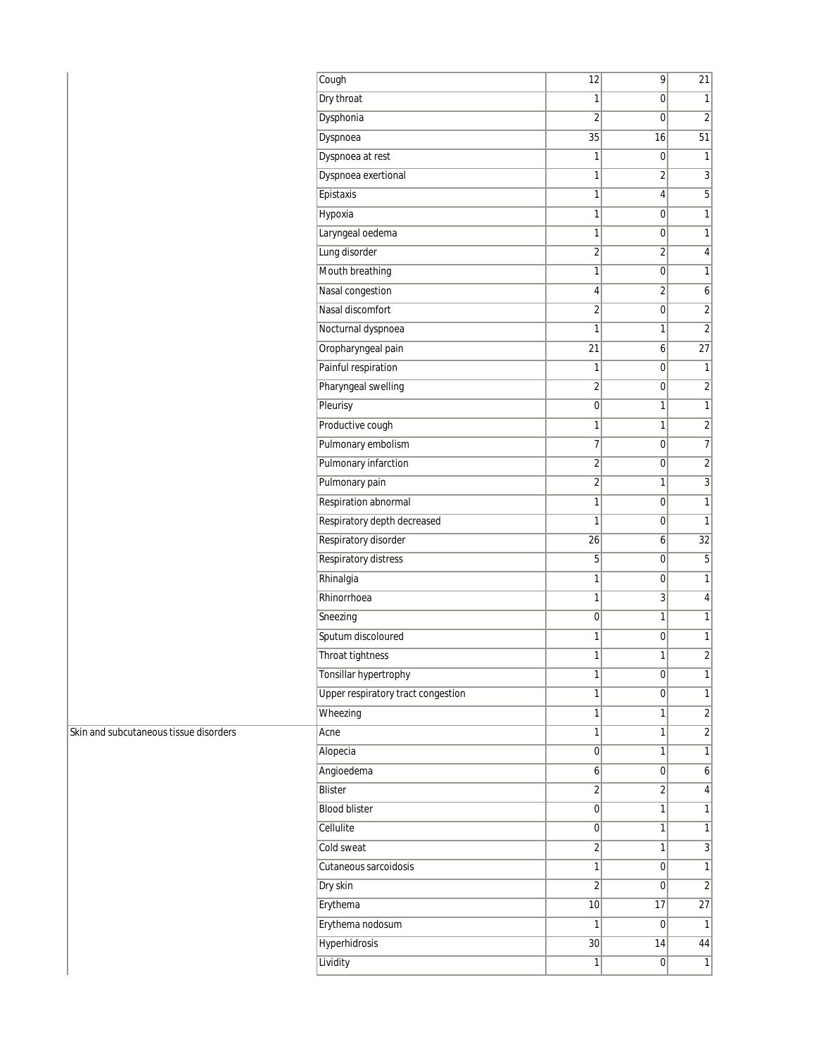| Cough                              | 12                      | $\overline{9}$   | 21               |
|------------------------------------|-------------------------|------------------|------------------|
| Dry throat                         | 1                       | 0                | 1                |
| Dysphonia                          | $\overline{2}$          | 0                | $\overline{2}$   |
| Dyspnoea                           | 35                      | 16               | 51               |
| Dyspnoea at rest                   | 1                       | 0                | $\mathbf{1}$     |
| Dyspnoea exertional                | 1                       | $\overline{2}$   | $\overline{3}$   |
| Epistaxis                          | 1                       | 4                | $\overline{5}$   |
| Hypoxia                            | 1                       | 0                | $\overline{1}$   |
| Laryngeal oedema                   | 1                       | 0                | $\mathbf{1}$     |
| Lung disorder                      | $\overline{2}$          | $\overline{2}$   | $\overline{4}$   |
| Mouth breathing                    | 1                       | 0                | $\overline{1}$   |
| Nasal congestion                   | 4                       | $\overline{2}$   | $\boldsymbol{6}$ |
| Nasal discomfort                   | $\overline{2}$          | 0                | $\overline{2}$   |
| Nocturnal dyspnoea                 | 1                       | 1                | $\overline{2}$   |
| Oropharyngeal pain                 | 21                      | 6                | 27               |
| Painful respiration                | 1                       | 0                | $\mathbf{1}$     |
| Pharyngeal swelling                | $\overline{\mathbf{c}}$ | 0                | $\overline{2}$   |
| Pleurisy                           | $\mathbf 0$             | 1                | $\overline{1}$   |
| Productive cough                   | 1                       | 1                | $\overline{2}$   |
| Pulmonary embolism                 | 7                       | 0                | $\overline{7}$   |
| Pulmonary infarction               | $\overline{2}$          | 0                | $\overline{2}$   |
| Pulmonary pain                     | $\overline{\mathbf{c}}$ | 1                | $\overline{3}$   |
| Respiration abnormal               | 1                       | 0                | $\overline{1}$   |
| Respiratory depth decreased        | 1                       | 0                | $\mathbf{1}$     |
| Respiratory disorder               | 26                      | 6                | 32               |
| <b>Respiratory distress</b>        | 5                       | 0                | $\overline{5}$   |
| Rhinalgia                          | 1                       | 0                | $\mathbf{1}$     |
| Rhinorrhoea                        | 1                       | 3                | $\overline{4}$   |
| Sneezing                           | $\mathbf 0$             | 1                | $\mathbf{1}$     |
| Sputum discoloured                 | 1                       | 0                | $\mathbf{1}$     |
| Throat tightness                   | 1                       | 1                | $\overline{2}$   |
| Tonsillar hypertrophy              | 1                       | 0                | $\mathbf{1}$     |
| Upper respiratory tract congestion | 1                       | 0                | $\overline{1}$   |
| Wheezing                           | 1                       | $\mathbf{1}$     | $\overline{2}$   |
| Acne                               | 1                       | 1                | $\overline{2}$   |
| Alopecia                           | $\boldsymbol{0}$        | 1                | $\overline{1}$   |
| Angioedema                         | $6\vert$                | 0                | $6\vert$         |
| <b>Blister</b>                     | $\overline{2}$          | $\overline{2}$   | $\overline{4}$   |
| <b>Blood blister</b>               | $\overline{0}$          | $\mathbf{1}$     | $\overline{1}$   |
| Cellulite                          | 0                       | 1                | $\overline{1}$   |
| Cold sweat                         | $\overline{2}$          | 1                | $\overline{3}$   |
| Cutaneous sarcoidosis              | 1                       | 0                | $\mathbf{1}$     |
| Dry skin                           | $\overline{2}$          | $\overline{0}$   | $\overline{2}$   |
| Erythema                           | 10                      | 17               | 27               |
| Erythema nodosum                   | 1                       | $\overline{0}$   | $\mathbf{1}$     |
| <b>Hyperhidrosis</b>               | 30 <sup>°</sup>         | 14               | 44               |
| Lividity                           | $\mathbf{1}$            | $\boldsymbol{0}$ | $\mathbf{1}$     |

Skin and subcutaneous tissue disorders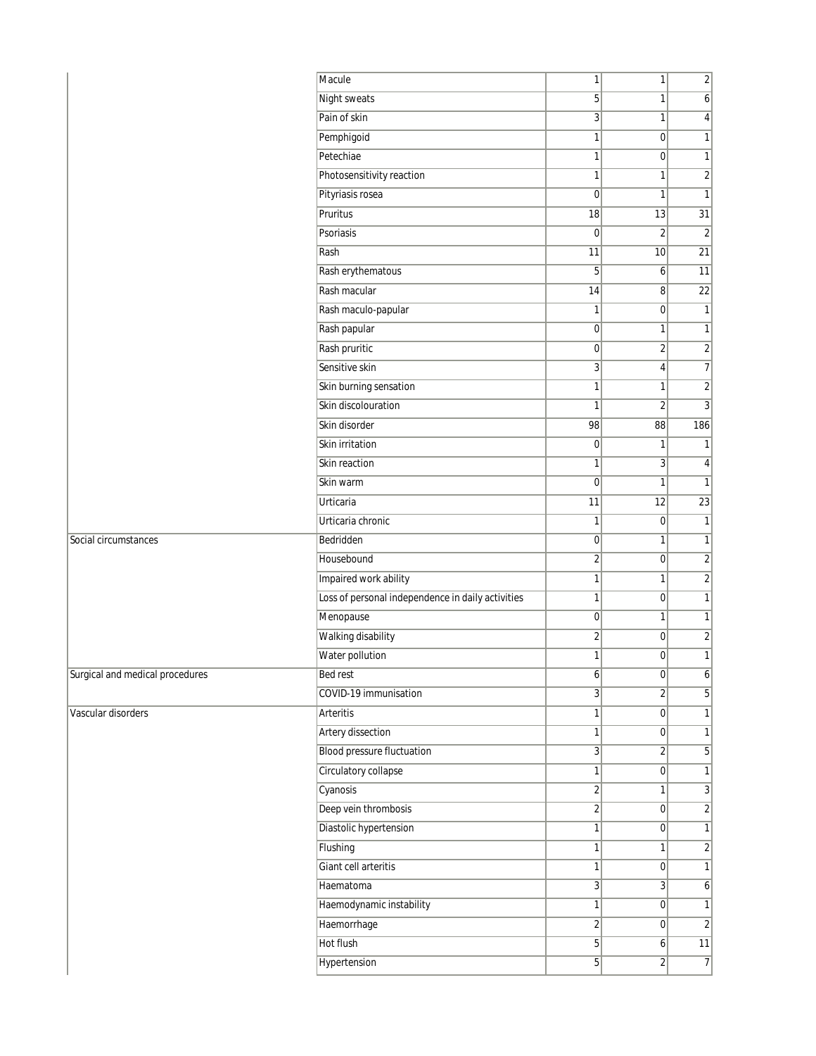| <b>Night sweats</b><br>5<br>1<br>$\overline{6}$<br>Pain of skin<br>$\overline{3}$<br>$\vert 4 \vert$<br>1<br>Pemphigoid<br>$\mathbf{1}$<br>$\mathbf{1}$<br>$\overline{0}$<br>Petechiae<br>1<br>$\overline{0}$<br>$\mathbf{1}$<br>Photosensitivity reaction<br>1<br>$\overline{2}$<br>1<br>Pityriasis rosea<br>$\mathbf 0$<br>$\mathbf{1}$<br>$\mathbf{1}$<br>$\overline{31}$<br>Pruritus<br>$\overline{18}$<br>13<br>Psoriasis<br>$\mathbf 0$<br>$\overline{2}$<br>$\overline{2}$<br>Rash<br>$\overline{11}$<br>$\overline{21}$<br>10<br>$\overline{11}$<br>Rash erythematous<br>5<br>6 <sup>1</sup><br>Rash macular<br>22<br>14<br>8<br>Rash maculo-papular<br>1<br>$\overline{0}$<br>$\mathbf{1}$<br>Rash papular<br>$\overline{0}$<br>$\mathbf{1}$<br>1<br>Rash pruritic<br>$\overline{0}$<br>$\overline{2}$<br>$\overline{2}$<br>Sensitive skin<br>$\overline{3}$<br>$\boldsymbol{7}$<br>$\overline{4}$<br>Skin burning sensation<br>1<br>$\overline{2}$<br>$\mathbf{1}$<br>Skin discolouration<br>$\overline{3}$<br>$\overline{2}$<br>1<br>Skin disorder<br>98<br>186<br>88<br>Skin irritation<br>$\overline{0}$<br>$\mathbf{1}$<br>$\mathbf{1}$<br>Skin reaction<br>1<br>3 <sup>1</sup><br>$\vert$<br>$\mathbf 0$<br>$\mathbf{1}$<br>Skin warm<br>$\mathbf{1}$<br>$\overline{23}$<br><b>Urticaria</b><br>11<br>12<br>$\mathbf{1}$<br>Urticaria chronic<br>1<br>$\overline{0}$<br>Bedridden<br>$\overline{0}$<br>Social circumstances<br>$\mathbf{1}$<br>$\mathbf{1}$<br>Housebound<br>$\overline{\mathbf{c}}$<br>$\overline{2}$<br>$\overline{0}$<br>Impaired work ability<br>1<br>$\overline{2}$<br>$\mathbf{1}$<br>Loss of personal independence in daily activities<br>$\mathbf{1}$<br> 0 <br>$\mathbf{1}$<br>Menopause<br>$\overline{0}$<br>$\mathbf{1}$<br>$\mathbf{1}$<br>Walking disability<br>$\overline{\mathbf{c}}$<br>$\overline{0}$<br>$\overline{2}$<br>Water pollution<br>$\mathbf{1}$<br>1<br>$\overline{0}$<br>Surgical and medical procedures<br>Bed rest<br>$6\vert$<br> 0 <br>$\frac{1}{2}$<br>$\overline{3}$<br>COVID-19 immunisation<br>$\overline{2}$<br>5 <sup>1</sup><br><b>Arteritis</b><br>$\mathbf{1}$<br>$\mathbf{1}$<br>$\overline{0}$<br><b>Artery dissection</b><br>1<br> 0 <br>$\mathbf{1}$<br><b>Blood pressure fluctuation</b><br>$\overline{3}$<br>$\overline{2}$<br>5 <sup>1</sup><br>Circulatory collapse<br>$\mathbf{1}$<br>$\overline{0}$<br>$\mathbf{1}$<br>$\overline{2}$<br>Cyanosis<br>$\overline{3}$<br>$\mathbf{1}$<br>Deep vein thrombosis<br>$\overline{2}$<br>$\overline{2}$<br>$\overline{0}$<br>Diastolic hypertension<br>1<br> 0 <br>$\mathbf{1}$<br>Flushing<br>1<br>$\overline{2}$<br>1<br>Giant cell arteritis<br>1<br>$\overline{0}$<br>$\mathbf{1}$<br>$\overline{3}$<br>$\overline{3}$<br>Haematoma<br>$\boldsymbol{6}$<br>Haemodynamic instability<br>$\mathbf{1}$<br>$\mathbf{1}$<br>$\overline{0}$<br>Haemorrhage<br>$\overline{\mathbf{c}}$<br> 0 <br>$\overline{2}$ |                    | Macule    | $\mathbf{1}$ | 1        | $\overline{2}$  |
|-----------------------------------------------------------------------------------------------------------------------------------------------------------------------------------------------------------------------------------------------------------------------------------------------------------------------------------------------------------------------------------------------------------------------------------------------------------------------------------------------------------------------------------------------------------------------------------------------------------------------------------------------------------------------------------------------------------------------------------------------------------------------------------------------------------------------------------------------------------------------------------------------------------------------------------------------------------------------------------------------------------------------------------------------------------------------------------------------------------------------------------------------------------------------------------------------------------------------------------------------------------------------------------------------------------------------------------------------------------------------------------------------------------------------------------------------------------------------------------------------------------------------------------------------------------------------------------------------------------------------------------------------------------------------------------------------------------------------------------------------------------------------------------------------------------------------------------------------------------------------------------------------------------------------------------------------------------------------------------------------------------------------------------------------------------------------------------------------------------------------------------------------------------------------------------------------------------------------------------------------------------------------------------------------------------------------------------------------------------------------------------------------------------------------------------------------------------------------------------------------------------------------------------------------------------------------------------------------------------------------------------------------------------------------------------------------------------------------------------------------------------------------------------------------------------------------------------------------------------------------------------------------------------------------------------------|--------------------|-----------|--------------|----------|-----------------|
|                                                                                                                                                                                                                                                                                                                                                                                                                                                                                                                                                                                                                                                                                                                                                                                                                                                                                                                                                                                                                                                                                                                                                                                                                                                                                                                                                                                                                                                                                                                                                                                                                                                                                                                                                                                                                                                                                                                                                                                                                                                                                                                                                                                                                                                                                                                                                                                                                                                                                                                                                                                                                                                                                                                                                                                                                                                                                                                                         |                    |           |              |          |                 |
|                                                                                                                                                                                                                                                                                                                                                                                                                                                                                                                                                                                                                                                                                                                                                                                                                                                                                                                                                                                                                                                                                                                                                                                                                                                                                                                                                                                                                                                                                                                                                                                                                                                                                                                                                                                                                                                                                                                                                                                                                                                                                                                                                                                                                                                                                                                                                                                                                                                                                                                                                                                                                                                                                                                                                                                                                                                                                                                                         |                    |           |              |          |                 |
|                                                                                                                                                                                                                                                                                                                                                                                                                                                                                                                                                                                                                                                                                                                                                                                                                                                                                                                                                                                                                                                                                                                                                                                                                                                                                                                                                                                                                                                                                                                                                                                                                                                                                                                                                                                                                                                                                                                                                                                                                                                                                                                                                                                                                                                                                                                                                                                                                                                                                                                                                                                                                                                                                                                                                                                                                                                                                                                                         |                    |           |              |          |                 |
|                                                                                                                                                                                                                                                                                                                                                                                                                                                                                                                                                                                                                                                                                                                                                                                                                                                                                                                                                                                                                                                                                                                                                                                                                                                                                                                                                                                                                                                                                                                                                                                                                                                                                                                                                                                                                                                                                                                                                                                                                                                                                                                                                                                                                                                                                                                                                                                                                                                                                                                                                                                                                                                                                                                                                                                                                                                                                                                                         |                    |           |              |          |                 |
|                                                                                                                                                                                                                                                                                                                                                                                                                                                                                                                                                                                                                                                                                                                                                                                                                                                                                                                                                                                                                                                                                                                                                                                                                                                                                                                                                                                                                                                                                                                                                                                                                                                                                                                                                                                                                                                                                                                                                                                                                                                                                                                                                                                                                                                                                                                                                                                                                                                                                                                                                                                                                                                                                                                                                                                                                                                                                                                                         |                    |           |              |          |                 |
|                                                                                                                                                                                                                                                                                                                                                                                                                                                                                                                                                                                                                                                                                                                                                                                                                                                                                                                                                                                                                                                                                                                                                                                                                                                                                                                                                                                                                                                                                                                                                                                                                                                                                                                                                                                                                                                                                                                                                                                                                                                                                                                                                                                                                                                                                                                                                                                                                                                                                                                                                                                                                                                                                                                                                                                                                                                                                                                                         |                    |           |              |          |                 |
|                                                                                                                                                                                                                                                                                                                                                                                                                                                                                                                                                                                                                                                                                                                                                                                                                                                                                                                                                                                                                                                                                                                                                                                                                                                                                                                                                                                                                                                                                                                                                                                                                                                                                                                                                                                                                                                                                                                                                                                                                                                                                                                                                                                                                                                                                                                                                                                                                                                                                                                                                                                                                                                                                                                                                                                                                                                                                                                                         |                    |           |              |          |                 |
|                                                                                                                                                                                                                                                                                                                                                                                                                                                                                                                                                                                                                                                                                                                                                                                                                                                                                                                                                                                                                                                                                                                                                                                                                                                                                                                                                                                                                                                                                                                                                                                                                                                                                                                                                                                                                                                                                                                                                                                                                                                                                                                                                                                                                                                                                                                                                                                                                                                                                                                                                                                                                                                                                                                                                                                                                                                                                                                                         |                    |           |              |          |                 |
|                                                                                                                                                                                                                                                                                                                                                                                                                                                                                                                                                                                                                                                                                                                                                                                                                                                                                                                                                                                                                                                                                                                                                                                                                                                                                                                                                                                                                                                                                                                                                                                                                                                                                                                                                                                                                                                                                                                                                                                                                                                                                                                                                                                                                                                                                                                                                                                                                                                                                                                                                                                                                                                                                                                                                                                                                                                                                                                                         |                    |           |              |          |                 |
|                                                                                                                                                                                                                                                                                                                                                                                                                                                                                                                                                                                                                                                                                                                                                                                                                                                                                                                                                                                                                                                                                                                                                                                                                                                                                                                                                                                                                                                                                                                                                                                                                                                                                                                                                                                                                                                                                                                                                                                                                                                                                                                                                                                                                                                                                                                                                                                                                                                                                                                                                                                                                                                                                                                                                                                                                                                                                                                                         |                    |           |              |          |                 |
|                                                                                                                                                                                                                                                                                                                                                                                                                                                                                                                                                                                                                                                                                                                                                                                                                                                                                                                                                                                                                                                                                                                                                                                                                                                                                                                                                                                                                                                                                                                                                                                                                                                                                                                                                                                                                                                                                                                                                                                                                                                                                                                                                                                                                                                                                                                                                                                                                                                                                                                                                                                                                                                                                                                                                                                                                                                                                                                                         |                    |           |              |          |                 |
|                                                                                                                                                                                                                                                                                                                                                                                                                                                                                                                                                                                                                                                                                                                                                                                                                                                                                                                                                                                                                                                                                                                                                                                                                                                                                                                                                                                                                                                                                                                                                                                                                                                                                                                                                                                                                                                                                                                                                                                                                                                                                                                                                                                                                                                                                                                                                                                                                                                                                                                                                                                                                                                                                                                                                                                                                                                                                                                                         |                    |           |              |          |                 |
|                                                                                                                                                                                                                                                                                                                                                                                                                                                                                                                                                                                                                                                                                                                                                                                                                                                                                                                                                                                                                                                                                                                                                                                                                                                                                                                                                                                                                                                                                                                                                                                                                                                                                                                                                                                                                                                                                                                                                                                                                                                                                                                                                                                                                                                                                                                                                                                                                                                                                                                                                                                                                                                                                                                                                                                                                                                                                                                                         |                    |           |              |          |                 |
|                                                                                                                                                                                                                                                                                                                                                                                                                                                                                                                                                                                                                                                                                                                                                                                                                                                                                                                                                                                                                                                                                                                                                                                                                                                                                                                                                                                                                                                                                                                                                                                                                                                                                                                                                                                                                                                                                                                                                                                                                                                                                                                                                                                                                                                                                                                                                                                                                                                                                                                                                                                                                                                                                                                                                                                                                                                                                                                                         |                    |           |              |          |                 |
|                                                                                                                                                                                                                                                                                                                                                                                                                                                                                                                                                                                                                                                                                                                                                                                                                                                                                                                                                                                                                                                                                                                                                                                                                                                                                                                                                                                                                                                                                                                                                                                                                                                                                                                                                                                                                                                                                                                                                                                                                                                                                                                                                                                                                                                                                                                                                                                                                                                                                                                                                                                                                                                                                                                                                                                                                                                                                                                                         |                    |           |              |          |                 |
|                                                                                                                                                                                                                                                                                                                                                                                                                                                                                                                                                                                                                                                                                                                                                                                                                                                                                                                                                                                                                                                                                                                                                                                                                                                                                                                                                                                                                                                                                                                                                                                                                                                                                                                                                                                                                                                                                                                                                                                                                                                                                                                                                                                                                                                                                                                                                                                                                                                                                                                                                                                                                                                                                                                                                                                                                                                                                                                                         |                    |           |              |          |                 |
|                                                                                                                                                                                                                                                                                                                                                                                                                                                                                                                                                                                                                                                                                                                                                                                                                                                                                                                                                                                                                                                                                                                                                                                                                                                                                                                                                                                                                                                                                                                                                                                                                                                                                                                                                                                                                                                                                                                                                                                                                                                                                                                                                                                                                                                                                                                                                                                                                                                                                                                                                                                                                                                                                                                                                                                                                                                                                                                                         |                    |           |              |          |                 |
|                                                                                                                                                                                                                                                                                                                                                                                                                                                                                                                                                                                                                                                                                                                                                                                                                                                                                                                                                                                                                                                                                                                                                                                                                                                                                                                                                                                                                                                                                                                                                                                                                                                                                                                                                                                                                                                                                                                                                                                                                                                                                                                                                                                                                                                                                                                                                                                                                                                                                                                                                                                                                                                                                                                                                                                                                                                                                                                                         |                    |           |              |          |                 |
|                                                                                                                                                                                                                                                                                                                                                                                                                                                                                                                                                                                                                                                                                                                                                                                                                                                                                                                                                                                                                                                                                                                                                                                                                                                                                                                                                                                                                                                                                                                                                                                                                                                                                                                                                                                                                                                                                                                                                                                                                                                                                                                                                                                                                                                                                                                                                                                                                                                                                                                                                                                                                                                                                                                                                                                                                                                                                                                                         |                    |           |              |          |                 |
|                                                                                                                                                                                                                                                                                                                                                                                                                                                                                                                                                                                                                                                                                                                                                                                                                                                                                                                                                                                                                                                                                                                                                                                                                                                                                                                                                                                                                                                                                                                                                                                                                                                                                                                                                                                                                                                                                                                                                                                                                                                                                                                                                                                                                                                                                                                                                                                                                                                                                                                                                                                                                                                                                                                                                                                                                                                                                                                                         |                    |           |              |          |                 |
|                                                                                                                                                                                                                                                                                                                                                                                                                                                                                                                                                                                                                                                                                                                                                                                                                                                                                                                                                                                                                                                                                                                                                                                                                                                                                                                                                                                                                                                                                                                                                                                                                                                                                                                                                                                                                                                                                                                                                                                                                                                                                                                                                                                                                                                                                                                                                                                                                                                                                                                                                                                                                                                                                                                                                                                                                                                                                                                                         |                    |           |              |          |                 |
|                                                                                                                                                                                                                                                                                                                                                                                                                                                                                                                                                                                                                                                                                                                                                                                                                                                                                                                                                                                                                                                                                                                                                                                                                                                                                                                                                                                                                                                                                                                                                                                                                                                                                                                                                                                                                                                                                                                                                                                                                                                                                                                                                                                                                                                                                                                                                                                                                                                                                                                                                                                                                                                                                                                                                                                                                                                                                                                                         |                    |           |              |          |                 |
|                                                                                                                                                                                                                                                                                                                                                                                                                                                                                                                                                                                                                                                                                                                                                                                                                                                                                                                                                                                                                                                                                                                                                                                                                                                                                                                                                                                                                                                                                                                                                                                                                                                                                                                                                                                                                                                                                                                                                                                                                                                                                                                                                                                                                                                                                                                                                                                                                                                                                                                                                                                                                                                                                                                                                                                                                                                                                                                                         |                    |           |              |          |                 |
|                                                                                                                                                                                                                                                                                                                                                                                                                                                                                                                                                                                                                                                                                                                                                                                                                                                                                                                                                                                                                                                                                                                                                                                                                                                                                                                                                                                                                                                                                                                                                                                                                                                                                                                                                                                                                                                                                                                                                                                                                                                                                                                                                                                                                                                                                                                                                                                                                                                                                                                                                                                                                                                                                                                                                                                                                                                                                                                                         |                    |           |              |          |                 |
|                                                                                                                                                                                                                                                                                                                                                                                                                                                                                                                                                                                                                                                                                                                                                                                                                                                                                                                                                                                                                                                                                                                                                                                                                                                                                                                                                                                                                                                                                                                                                                                                                                                                                                                                                                                                                                                                                                                                                                                                                                                                                                                                                                                                                                                                                                                                                                                                                                                                                                                                                                                                                                                                                                                                                                                                                                                                                                                                         |                    |           |              |          |                 |
|                                                                                                                                                                                                                                                                                                                                                                                                                                                                                                                                                                                                                                                                                                                                                                                                                                                                                                                                                                                                                                                                                                                                                                                                                                                                                                                                                                                                                                                                                                                                                                                                                                                                                                                                                                                                                                                                                                                                                                                                                                                                                                                                                                                                                                                                                                                                                                                                                                                                                                                                                                                                                                                                                                                                                                                                                                                                                                                                         |                    |           |              |          |                 |
|                                                                                                                                                                                                                                                                                                                                                                                                                                                                                                                                                                                                                                                                                                                                                                                                                                                                                                                                                                                                                                                                                                                                                                                                                                                                                                                                                                                                                                                                                                                                                                                                                                                                                                                                                                                                                                                                                                                                                                                                                                                                                                                                                                                                                                                                                                                                                                                                                                                                                                                                                                                                                                                                                                                                                                                                                                                                                                                                         |                    |           |              |          |                 |
|                                                                                                                                                                                                                                                                                                                                                                                                                                                                                                                                                                                                                                                                                                                                                                                                                                                                                                                                                                                                                                                                                                                                                                                                                                                                                                                                                                                                                                                                                                                                                                                                                                                                                                                                                                                                                                                                                                                                                                                                                                                                                                                                                                                                                                                                                                                                                                                                                                                                                                                                                                                                                                                                                                                                                                                                                                                                                                                                         |                    |           |              |          |                 |
|                                                                                                                                                                                                                                                                                                                                                                                                                                                                                                                                                                                                                                                                                                                                                                                                                                                                                                                                                                                                                                                                                                                                                                                                                                                                                                                                                                                                                                                                                                                                                                                                                                                                                                                                                                                                                                                                                                                                                                                                                                                                                                                                                                                                                                                                                                                                                                                                                                                                                                                                                                                                                                                                                                                                                                                                                                                                                                                                         |                    |           |              |          |                 |
|                                                                                                                                                                                                                                                                                                                                                                                                                                                                                                                                                                                                                                                                                                                                                                                                                                                                                                                                                                                                                                                                                                                                                                                                                                                                                                                                                                                                                                                                                                                                                                                                                                                                                                                                                                                                                                                                                                                                                                                                                                                                                                                                                                                                                                                                                                                                                                                                                                                                                                                                                                                                                                                                                                                                                                                                                                                                                                                                         |                    |           |              |          |                 |
|                                                                                                                                                                                                                                                                                                                                                                                                                                                                                                                                                                                                                                                                                                                                                                                                                                                                                                                                                                                                                                                                                                                                                                                                                                                                                                                                                                                                                                                                                                                                                                                                                                                                                                                                                                                                                                                                                                                                                                                                                                                                                                                                                                                                                                                                                                                                                                                                                                                                                                                                                                                                                                                                                                                                                                                                                                                                                                                                         |                    |           |              |          |                 |
|                                                                                                                                                                                                                                                                                                                                                                                                                                                                                                                                                                                                                                                                                                                                                                                                                                                                                                                                                                                                                                                                                                                                                                                                                                                                                                                                                                                                                                                                                                                                                                                                                                                                                                                                                                                                                                                                                                                                                                                                                                                                                                                                                                                                                                                                                                                                                                                                                                                                                                                                                                                                                                                                                                                                                                                                                                                                                                                                         |                    |           |              |          |                 |
|                                                                                                                                                                                                                                                                                                                                                                                                                                                                                                                                                                                                                                                                                                                                                                                                                                                                                                                                                                                                                                                                                                                                                                                                                                                                                                                                                                                                                                                                                                                                                                                                                                                                                                                                                                                                                                                                                                                                                                                                                                                                                                                                                                                                                                                                                                                                                                                                                                                                                                                                                                                                                                                                                                                                                                                                                                                                                                                                         | Vascular disorders |           |              |          |                 |
|                                                                                                                                                                                                                                                                                                                                                                                                                                                                                                                                                                                                                                                                                                                                                                                                                                                                                                                                                                                                                                                                                                                                                                                                                                                                                                                                                                                                                                                                                                                                                                                                                                                                                                                                                                                                                                                                                                                                                                                                                                                                                                                                                                                                                                                                                                                                                                                                                                                                                                                                                                                                                                                                                                                                                                                                                                                                                                                                         |                    |           |              |          |                 |
|                                                                                                                                                                                                                                                                                                                                                                                                                                                                                                                                                                                                                                                                                                                                                                                                                                                                                                                                                                                                                                                                                                                                                                                                                                                                                                                                                                                                                                                                                                                                                                                                                                                                                                                                                                                                                                                                                                                                                                                                                                                                                                                                                                                                                                                                                                                                                                                                                                                                                                                                                                                                                                                                                                                                                                                                                                                                                                                                         |                    |           |              |          |                 |
|                                                                                                                                                                                                                                                                                                                                                                                                                                                                                                                                                                                                                                                                                                                                                                                                                                                                                                                                                                                                                                                                                                                                                                                                                                                                                                                                                                                                                                                                                                                                                                                                                                                                                                                                                                                                                                                                                                                                                                                                                                                                                                                                                                                                                                                                                                                                                                                                                                                                                                                                                                                                                                                                                                                                                                                                                                                                                                                                         |                    |           |              |          |                 |
|                                                                                                                                                                                                                                                                                                                                                                                                                                                                                                                                                                                                                                                                                                                                                                                                                                                                                                                                                                                                                                                                                                                                                                                                                                                                                                                                                                                                                                                                                                                                                                                                                                                                                                                                                                                                                                                                                                                                                                                                                                                                                                                                                                                                                                                                                                                                                                                                                                                                                                                                                                                                                                                                                                                                                                                                                                                                                                                                         |                    |           |              |          |                 |
|                                                                                                                                                                                                                                                                                                                                                                                                                                                                                                                                                                                                                                                                                                                                                                                                                                                                                                                                                                                                                                                                                                                                                                                                                                                                                                                                                                                                                                                                                                                                                                                                                                                                                                                                                                                                                                                                                                                                                                                                                                                                                                                                                                                                                                                                                                                                                                                                                                                                                                                                                                                                                                                                                                                                                                                                                                                                                                                                         |                    |           |              |          |                 |
|                                                                                                                                                                                                                                                                                                                                                                                                                                                                                                                                                                                                                                                                                                                                                                                                                                                                                                                                                                                                                                                                                                                                                                                                                                                                                                                                                                                                                                                                                                                                                                                                                                                                                                                                                                                                                                                                                                                                                                                                                                                                                                                                                                                                                                                                                                                                                                                                                                                                                                                                                                                                                                                                                                                                                                                                                                                                                                                                         |                    |           |              |          |                 |
|                                                                                                                                                                                                                                                                                                                                                                                                                                                                                                                                                                                                                                                                                                                                                                                                                                                                                                                                                                                                                                                                                                                                                                                                                                                                                                                                                                                                                                                                                                                                                                                                                                                                                                                                                                                                                                                                                                                                                                                                                                                                                                                                                                                                                                                                                                                                                                                                                                                                                                                                                                                                                                                                                                                                                                                                                                                                                                                                         |                    |           |              |          |                 |
|                                                                                                                                                                                                                                                                                                                                                                                                                                                                                                                                                                                                                                                                                                                                                                                                                                                                                                                                                                                                                                                                                                                                                                                                                                                                                                                                                                                                                                                                                                                                                                                                                                                                                                                                                                                                                                                                                                                                                                                                                                                                                                                                                                                                                                                                                                                                                                                                                                                                                                                                                                                                                                                                                                                                                                                                                                                                                                                                         |                    |           |              |          |                 |
|                                                                                                                                                                                                                                                                                                                                                                                                                                                                                                                                                                                                                                                                                                                                                                                                                                                                                                                                                                                                                                                                                                                                                                                                                                                                                                                                                                                                                                                                                                                                                                                                                                                                                                                                                                                                                                                                                                                                                                                                                                                                                                                                                                                                                                                                                                                                                                                                                                                                                                                                                                                                                                                                                                                                                                                                                                                                                                                                         |                    |           |              |          |                 |
|                                                                                                                                                                                                                                                                                                                                                                                                                                                                                                                                                                                                                                                                                                                                                                                                                                                                                                                                                                                                                                                                                                                                                                                                                                                                                                                                                                                                                                                                                                                                                                                                                                                                                                                                                                                                                                                                                                                                                                                                                                                                                                                                                                                                                                                                                                                                                                                                                                                                                                                                                                                                                                                                                                                                                                                                                                                                                                                                         |                    |           |              |          |                 |
|                                                                                                                                                                                                                                                                                                                                                                                                                                                                                                                                                                                                                                                                                                                                                                                                                                                                                                                                                                                                                                                                                                                                                                                                                                                                                                                                                                                                                                                                                                                                                                                                                                                                                                                                                                                                                                                                                                                                                                                                                                                                                                                                                                                                                                                                                                                                                                                                                                                                                                                                                                                                                                                                                                                                                                                                                                                                                                                                         |                    |           |              |          |                 |
|                                                                                                                                                                                                                                                                                                                                                                                                                                                                                                                                                                                                                                                                                                                                                                                                                                                                                                                                                                                                                                                                                                                                                                                                                                                                                                                                                                                                                                                                                                                                                                                                                                                                                                                                                                                                                                                                                                                                                                                                                                                                                                                                                                                                                                                                                                                                                                                                                                                                                                                                                                                                                                                                                                                                                                                                                                                                                                                                         |                    | Hot flush | 5            | $6 \mid$ | $\overline{11}$ |
| $\overline{5}$<br>$\overline{2}$<br>$\overline{7}$<br>Hypertension                                                                                                                                                                                                                                                                                                                                                                                                                                                                                                                                                                                                                                                                                                                                                                                                                                                                                                                                                                                                                                                                                                                                                                                                                                                                                                                                                                                                                                                                                                                                                                                                                                                                                                                                                                                                                                                                                                                                                                                                                                                                                                                                                                                                                                                                                                                                                                                                                                                                                                                                                                                                                                                                                                                                                                                                                                                                      |                    |           |              |          |                 |